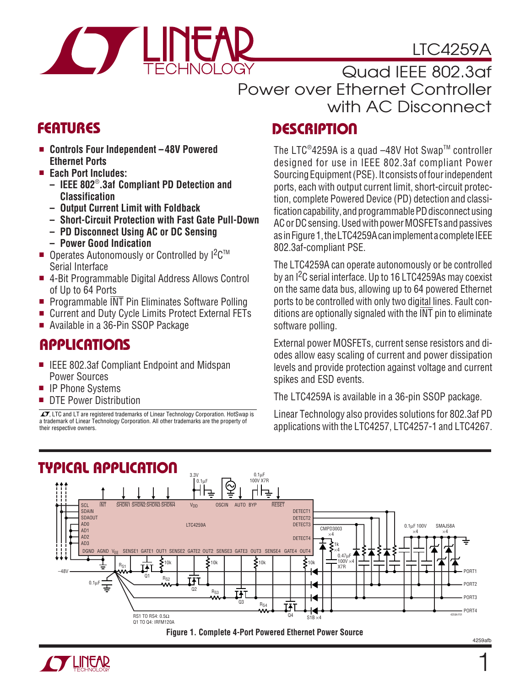

LTC4259A

Quad IEEE 802.3af Power over Ethernet Controller with AC Disconnect

- **Controls Four Independent 48V Powered Ethernet Ports**
- **Each Port Includes:**
	- **IEEE 802**® **.3af Compliant PD Detection and Classification**
	- **Output Current Limit with Foldback**
	- **Short-Circuit Protection with Fast Gate Pull-Down**
	- **PD Disconnect Using AC or DC Sensing – Power Good Indication**
- Operates Autonomously or Controlled by I<sup>2</sup>C<sup>™</sup> Serial Interface
- 4-Bit Programmable Digital Address Allows Control of Up to 64 Ports
- Programmable INT Pin Eliminates Software Polling
- Current and Duty Cycle Limits Protect External FETs
- Available in a 36-Pin SSOP Package

# **APPLICATIONS**

- IEEE 802.3af Compliant Endpoint and Midspan Power Sources
- IP Phone Systems
- DTE Power Distribution

 $\overline{\mathcal{I}}$ , LTC and LT are registered trademarks of Linear Technology Corporation. HotSwap is a trademark of Linear Technology Corporation. All other trademarks are the property of their respective owners.

# **FEATURES DESCRIPTIO <sup>U</sup>**

The LTC<sup>®</sup>4259A is a quad  $-48V$  Hot Swap™ controller designed for use in IEEE 802.3af compliant Power Sourcing Equipment (PSE). It consists of four independent ports, each with output current limit, short-circuit protection, complete Powered Device (PD) detection and classification capability, and programmable PD disconnect using AC or DC sensing. Used with power MOSFETs and passives as in Figure 1, the LTC4259A can implement a complete IEEE 802.3af-compliant PSE.

The LTC4259A can operate autonomously or be controlled by an I<sup>2</sup>C serial interface. Up to 16 LTC4259As may coexist on the same data bus, allowing up to 64 powered Ethernet ports to be controlled with only two digital lines. Fault conditions are optionally signaled with the INT pin to eliminate software polling.

External power MOSFETs, current sense resistors and diodes allow easy scaling of current and power dissipation levels and provide protection against voltage and current spikes and ESD events.

The LTC4259A is available in a 36-pin SSOP package.

Linear Technology also provides solutions for 802.3af PD applications with the LTC4257, LTC4257-1 and LTC4267.





1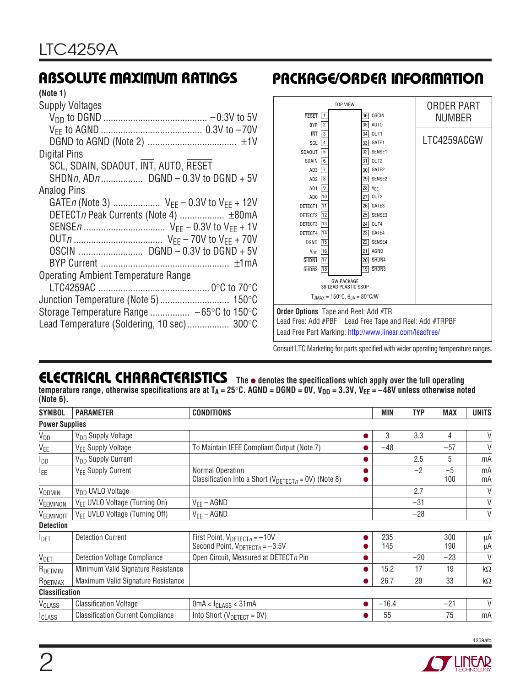#### **(Note 1)**

# **ABSOLUTE MAXIMUM RATINGS PACKAGE/ORDER INFORMATION**

| <b>RESET</b>                                | <b>TOP VIEW</b><br>$\mathbf{1}$                                                           | <b>OSCIN</b><br>36                                         | ORDER PART<br>NUMBER |  |  |  |  |
|---------------------------------------------|-------------------------------------------------------------------------------------------|------------------------------------------------------------|----------------------|--|--|--|--|
| <b>BYP</b>                                  | $\overline{2}$                                                                            | 35<br>AUTO                                                 |                      |  |  |  |  |
| <b>INT</b>                                  | $\overline{\mathbf{3}}$                                                                   | 34<br>OUT1                                                 |                      |  |  |  |  |
| SCL                                         | $\overline{4}$                                                                            | 33<br>GATE1                                                | LTC4259ACGW          |  |  |  |  |
| SDAOUT                                      | 5                                                                                         | SENSE1<br>32                                               |                      |  |  |  |  |
| SDAIN                                       | 6                                                                                         | OUT <sub>2</sub><br>31                                     |                      |  |  |  |  |
| AD3                                         | 7                                                                                         | GATE2<br>30 <sup>1</sup>                                   |                      |  |  |  |  |
| AD <sub>2</sub>                             | $\overline{\mathbf{8}}$                                                                   | SENSE2<br>29                                               |                      |  |  |  |  |
| AD <sub>1</sub>                             | 9                                                                                         | $28$ VFF                                                   |                      |  |  |  |  |
| AD <sub>0</sub>                             | 10                                                                                        | OUT3<br>27                                                 |                      |  |  |  |  |
| DETECT1                                     | 11                                                                                        | GATE3<br>26                                                |                      |  |  |  |  |
| DETECT2                                     | 12                                                                                        | SENSE3<br>25                                               |                      |  |  |  |  |
| DETECT3                                     | 13                                                                                        |                                                            |                      |  |  |  |  |
| DETECT4                                     | 14                                                                                        | GATE4<br>23                                                |                      |  |  |  |  |
| <b>DGND</b>                                 | 15                                                                                        | SENSE4<br>22                                               |                      |  |  |  |  |
| $V_{DD}$  16                                |                                                                                           | AGND<br>21                                                 |                      |  |  |  |  |
| SHDN <sub>1</sub>                           | 17                                                                                        | SHDN <sub>4</sub><br>20                                    |                      |  |  |  |  |
| SHDN <sub>2</sub>                           | 18                                                                                        | SHDN3<br>19 <sup>1</sup>                                   |                      |  |  |  |  |
|                                             | <b>GW PACKAGE</b><br>36-LEAD PLASTIC SSOP<br>$T_{.IMAX}$ = 150°C, $\theta_{.IA}$ = 80°C/W |                                                            |                      |  |  |  |  |
| <b>Order Options</b> Tape and Reel: Add #TR |                                                                                           |                                                            |                      |  |  |  |  |
|                                             |                                                                                           |                                                            |                      |  |  |  |  |
|                                             |                                                                                           | Lead Free: Add #PBF    Lead Free Tape and Reel: Add #TRPBF |                      |  |  |  |  |
|                                             |                                                                                           | Lead Free Part Marking: http://www.linear.com/leadfree/    |                      |  |  |  |  |
|                                             |                                                                                           |                                                            |                      |  |  |  |  |

Consult LTC Marketing for parts specified with wider operating temperature ranges.

#### **ELECTRICAL CHARACTERISTICS The** ● **denotes the specifications which apply over the full operating** temperature range, otherwise specifications are at T<sub>A</sub> = 25°C. AGND = DGND = 0V, V<sub>DD</sub> = 3.3V, V<sub>EE</sub> = –48V unless otherwise noted **(Note 6).**

| <b>SYMBOL</b>           | <b>PARAMETER</b>                           | <b>CONDITIONS</b>                                                                |  | MIN        | <b>TYP</b> | <b>MAX</b>  | <b>UNITS</b> |
|-------------------------|--------------------------------------------|----------------------------------------------------------------------------------|--|------------|------------|-------------|--------------|
| <b>Power Supplies</b>   |                                            |                                                                                  |  |            |            |             |              |
| $V_{DD}$                | V <sub>DD</sub> Supply Voltage             |                                                                                  |  | 3          | 3.3        | 4           | V            |
| V <sub>EE</sub>         | V <sub>EE</sub> Supply Voltage             | To Maintain IEEE Compliant Output (Note 7)                                       |  | $-48$      |            | $-57$       | V            |
| I <sub>DD</sub>         | V <sub>DD</sub> Supply Current             |                                                                                  |  |            | 2.5        | 5           | mA           |
| <b>IEE</b>              | V <sub>EE</sub> Supply Current             | Normal Operation<br>Classification Into a Short ( $V_{DETECT, n}$ = 0V) (Note 8) |  |            | $-2$       | $-5$<br>100 | mA<br>mA     |
| V <sub>DDMIN</sub>      | V <sub>DD</sub> UVLO Voltage               |                                                                                  |  |            | 2.7        |             | V            |
| VEEMINON                | VEE UVLO Voltage (Turning On)              | $V_{EE}$ – AGND                                                                  |  |            | $-31$      |             | V            |
| VEEMINOFF               | V <sub>FF</sub> UVLO Voltage (Turning Off) | $V_{EE}$ – AGND                                                                  |  |            | $-28$      |             | V            |
| <b>Detection</b>        |                                            |                                                                                  |  |            |            |             |              |
| <b>I</b> DET            | <b>Detection Current</b>                   | First Point, $V_{DETECTn} = -10V$<br>Second Point, $V_{DETECTn} = -3.5V$         |  | 235<br>145 |            | 300<br>190  | μA<br>μA     |
| <b>V</b> <sub>DET</sub> | <b>Detection Voltage Compliance</b>        | Open Circuit, Measured at DETECTn Pin                                            |  |            | $-20$      | $-23$       | $\vee$       |
| RDETMIN                 | Minimum Valid Signature Resistance         |                                                                                  |  | 15.2       | 17         | 19          | $k\Omega$    |
| RDETMAX                 | Maximum Valid Signature Resistance         |                                                                                  |  | 26.7       | 29         | 33          | k $\Omega$   |
| <b>Classification</b>   |                                            |                                                                                  |  |            |            |             |              |
| VCLASS                  | <b>Classification Voltage</b>              | 0mA < I <sub>CLASS</sub> < 31mA                                                  |  | $-16.4$    |            | $-21$       | V            |
| <b>ICLASS</b>           | <b>Classification Current Compliance</b>   | Into Short ( $V_{DETECT} = 0V$ )                                                 |  | 55         |            | 75          | mA           |

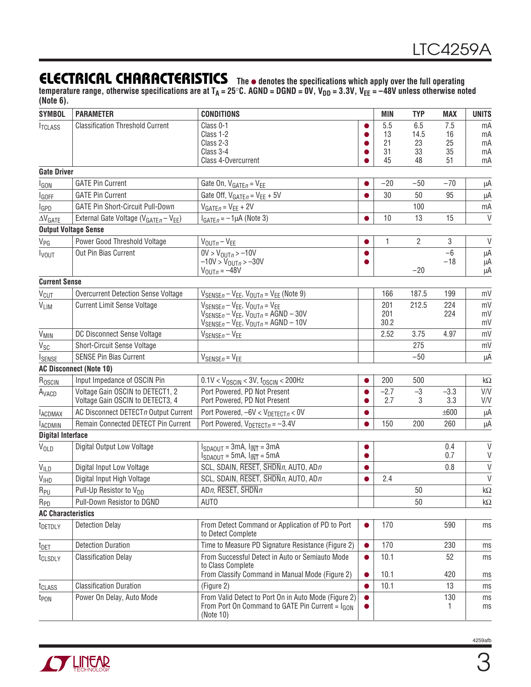### **ELECTRICAL CHARACTERISTICS The** ● **denotes the specifications which apply over the full operating**

temperature range, otherwise specifications are at T<sub>A</sub> = 25°C. AGND = DGND = 0V, V<sub>DD</sub> = 3.3V, V<sub>EE</sub> = –48V unless otherwise noted **(Note 6).**

| <b>SYMBOL</b>             | <b>PARAMETER</b>                                              | <b>CONDITIONS</b>                                                                                                                |                        | <b>MIN</b> | <b>TYP</b> | <b>MAX</b> | <b>UNITS</b>     |
|---------------------------|---------------------------------------------------------------|----------------------------------------------------------------------------------------------------------------------------------|------------------------|------------|------------|------------|------------------|
| <b>ITCLASS</b>            | <b>Classification Threshold Current</b>                       | Class 0-1                                                                                                                        |                        | 5.5        | 6.5        | 7.5        | mA               |
|                           |                                                               | Class 1-2<br>Class 2-3                                                                                                           |                        | 13<br>21   | 14.5<br>23 | 16<br>25   | mA<br>mA         |
|                           |                                                               | Class 3-4                                                                                                                        |                        | 31         | 33         | 35         | mA               |
|                           |                                                               | Class 4-Overcurrent                                                                                                              |                        | 45         | 48         | 51         | mA               |
| <b>Gate Driver</b>        |                                                               |                                                                                                                                  |                        |            |            |            |                  |
| <b>I</b> GON              | <b>GATE Pin Current</b>                                       | Gate On, $V_{GATEn} = V_{EE}$                                                                                                    | ●                      | $-20$      | $-50$      | $-70$      | μA               |
| <b>I</b> GOFF             | <b>GATE Pin Current</b>                                       | Gate Off, $V_{GATEn} = V_{EE} + 5V$                                                                                              |                        | 30         | 50         | 95         | μA               |
| <b>I</b> GPD              | <b>GATE Pin Short-Circuit Pull-Down</b>                       | $V_{GATEn} = V_{EE} + 2V$                                                                                                        |                        |            | 100        |            | mA               |
| $\Delta V$ GATE           | External Gate Voltage (V <sub>GATEn</sub> - V <sub>EE</sub> ) | $I_{GATEn} = -1 \mu A$ (Note 3)                                                                                                  |                        | 10         | 13         | 15         | $\vee$           |
|                           | <b>Output Voltage Sense</b>                                   |                                                                                                                                  |                        |            |            |            |                  |
| <b>V<sub>PG</sub></b>     | Power Good Threshold Voltage                                  | $V_{\text{OUT}} - V_{\text{EE}}$                                                                                                 |                        | 1          | 2          | 3          | $\vee$           |
| <b>I</b> vout             | Out Pin Bias Current                                          | $0V > V_{OUTB} > -10V$                                                                                                           |                        |            |            | $-6$       | μA               |
|                           |                                                               | $-10V > V_{OUTR} > -30V$                                                                                                         |                        |            | $-20$      | $-18$      | μA               |
| <b>Current Sense</b>      |                                                               | $V_{\text{OUT}} = -48V$                                                                                                          |                        |            |            |            | μA               |
|                           | <b>Overcurrent Detection Sense Voltage</b>                    |                                                                                                                                  |                        | 166        | 187.5      | 199        | mV               |
| <b>V<sub>CUT</sub></b>    | <b>Current Limit Sense Voltage</b>                            | $V_{SENSEB} - V_{EE}$ , $V_{OUTB} = V_{EE}$ (Note 9)                                                                             |                        |            | 212.5      | 224        |                  |
| VLIM                      |                                                               | $V_{SENSEB} - V_{EE}$ , $V_{OUTB} = V_{EE}$<br>$V_{SENSEB} - V_{EE}$ , $V_{OUTB} = AGND - 30V$                                   |                        | 201<br>201 |            | 224        | mV<br>mV         |
|                           |                                                               | $V_{\text{SENSE}n} - V_{\text{EE}}$ , $V_{\text{OUT}n} = \text{AGND} - 10V$                                                      |                        | 30.2       |            |            | mV               |
| V <sub>MIN</sub>          | DC Disconnect Sense Voltage                                   | $V_{SENSEn} - V_{EE}$                                                                                                            |                        | 2.52       | 3.75       | 4.97       | mV               |
| $V_{SC}$                  | Short-Circuit Sense Voltage                                   |                                                                                                                                  |                        |            | 275        |            | mV               |
| <b>ISENSE</b>             | <b>SENSE Pin Bias Current</b>                                 | $V_{SENSEn} = V_{EE}$                                                                                                            |                        |            | $-50$      |            | μA               |
|                           | <b>AC Disconnect (Note 10)</b>                                |                                                                                                                                  |                        |            |            |            |                  |
| R <sub>OSCIN</sub>        | Input Impedance of OSCIN Pin                                  | $0.1$ V < V <sub>OSCIN</sub> < 3V, f <sub>OSCIN</sub> < 200Hz                                                                    | $\bullet$              | 200        | 500        |            | $k\Omega$        |
| A <sub>VACD</sub>         | Voltage Gain OSCIN to DETECT1, 2                              | Port Powered, PD Not Present                                                                                                     | $\bullet$              | $-2.7$     | $-3$       | $-3.3$     | V/V              |
|                           | Voltage Gain OSCIN to DETECT3, 4                              | Port Powered, PD Not Present                                                                                                     |                        | 2.7        | 3          | 3.3        | V/V              |
| <b>LACDMAX</b>            | AC Disconnect DETECTn Output Current                          | Port Powered, $-6V < V_{DETECTB} < 0V$                                                                                           | $\bullet$              |            |            | ±600       | μA               |
| <b>LACDMIN</b>            | Remain Connected DETECT Pin Current                           | Port Powered, $V_{DETECTn} = -3.4V$                                                                                              |                        | 150        | 200        | 260        | μA               |
| <b>Digital Interface</b>  |                                                               |                                                                                                                                  |                        |            |            |            |                  |
| VOLD                      | Digital Output Low Voltage                                    | $I_{SDAOUT} = 3mA$ , $I_{\overline{INT}} = 3mA$<br>$I_{SDAOUT} = 5mA$ , $I_{\overline{INT}} = 5mA$                               | $\bullet$              |            |            | 0.4<br>0.7 | $\vee$<br>$\vee$ |
|                           | Digital Input Low Voltage                                     | SCL, SDAIN, RESET, SHDNn, AUTO, ADn                                                                                              |                        |            |            | 0.8        | $\mathsf{V}$     |
| VILD<br>V <sub>IHD</sub>  | Digital Input High Voltage                                    | SCL, SDAIN, RESET, SHDNn, AUTO, ADn                                                                                              | $\bullet$<br>$\bullet$ | 2.4        |            |            | $\vee$           |
| R <sub>PU</sub>           | Pull-Up Resistor to V <sub>DD</sub>                           | AD <sub>n</sub> , RESET, $\overline{\text{SHDN}}$ <sub>n</sub>                                                                   |                        |            | 50         |            | $k\Omega$        |
| R <sub>PD</sub>           | Pull-Down Resistor to DGND                                    | AUTO                                                                                                                             |                        |            | 50         |            | $k\Omega$        |
| <b>AC Characteristics</b> |                                                               |                                                                                                                                  |                        |            |            |            |                  |
|                           | <b>Detection Delay</b>                                        | From Detect Command or Application of PD to Port                                                                                 | $\bullet$              | 170        |            | 590        | ms               |
| t <sub>DETDLY</sub>       |                                                               | to Detect Complete                                                                                                               |                        |            |            |            |                  |
| $t_{\text{DET}}$          | <b>Detection Duration</b>                                     | Time to Measure PD Signature Resistance (Figure 2)                                                                               | $\bullet$              | 170        |            | 230        | ms               |
| t <sub>CLSDLY</sub>       | <b>Classification Delay</b>                                   | From Successful Detect in Auto or Semiauto Mode<br>to Class Complete                                                             | $\bullet$              | 10.1       |            | 52         | ms               |
|                           |                                                               | From Classify Command in Manual Mode (Figure 2)                                                                                  | $\bullet$              | 10.1       |            | 420        | ms               |
| t <sub>CLASS</sub>        | <b>Classification Duration</b>                                | (Figure 2)                                                                                                                       | $\bullet$              | 10.1       |            | 13         | ms               |
| t <sub>PON</sub>          | Power On Delay, Auto Mode                                     | From Valid Detect to Port On in Auto Mode (Figure 2)<br>From Port On Command to GATE Pin Current = I <sub>GON</sub><br>(Note 10) | $\bullet$              |            |            | 130<br>-1  | ms<br>ms         |

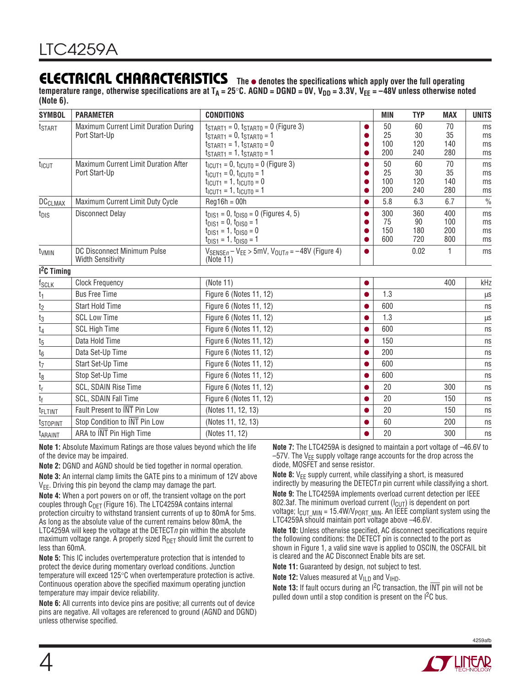# **ELECTRICAL CHARACTERISTICS The** ● **denotes the specifications which apply over the full operating**

temperature range, otherwise specifications are at  $T_A = 25^\circ \text{C}$ . AGND = DGND = 0V, V<sub>DD</sub> = 3.3V, V<sub>FF</sub> = -48V unless otherwise noted **(Note 6).**

| <b>SYMBOL</b>        | <b>PARAMETER</b>                                        | <b>CONDITIONS</b>                                                                                                                                                                                          |             | <b>MIN</b>              | <b>TYP</b>              | <b>MAX</b>               | <b>UNITS</b>         |
|----------------------|---------------------------------------------------------|------------------------------------------------------------------------------------------------------------------------------------------------------------------------------------------------------------|-------------|-------------------------|-------------------------|--------------------------|----------------------|
| t <sub>START</sub>   | Maximum Current Limit Duration During<br>Port Start-Up  | $t_{START1} = 0$ , $t_{START0} = 0$ (Figure 3)<br>$t_{START1} = 0, t_{START0} = 1$<br>$t_{START1} = 1$ , $t_{START0} = 0$<br>$t_{START1} = 1$ , $t_{START0} = 1$                                           |             | 50<br>25<br>100<br>200  | 60<br>30<br>120<br>240  | 70<br>35<br>140<br>280   | ms<br>ms<br>ms<br>ms |
| t <sub>ICUT</sub>    | Maximum Current Limit Duration After<br>Port Start-Up   | $t_{\text{ICUT1}} = 0$ , $t_{\text{ICUT0}} = 0$ (Figure 3)<br>$t_{\text{ICUT1}} = 0, t_{\text{ICUT0}} = 1$<br>$t_{\text{ICUT1}} = 1, t_{\text{ICUT0}} = 0$<br>$t_{\text{ICUT1}} = 1, t_{\text{ICUT0}} = 1$ | $\bullet$   | 50<br>25<br>100<br>200  | 60<br>30<br>120<br>240  | 70<br>35<br>140<br>280   | ms<br>ms<br>ms<br>ms |
| <b>DCCLMAX</b>       | Maximum Current Limit Duty Cycle                        | $Reg16h = 00h$                                                                                                                                                                                             | $\bullet$   | 5.8                     | 6.3                     | 6.7                      | $\frac{0}{0}$        |
| t <sub>DIS</sub>     | <b>Disconnect Delay</b>                                 | $t_{DIS1} = 0$ , $t_{DIS0} = 0$ (Figures 4, 5)<br>$t_{DIS1} = 0, t_{DIS0} = 1$<br>$t_{DIS1} = 1, t_{DIS0} = 0$<br>$t_{DIS1} = 1, t_{DIS0} = 1$                                                             | ●<br>●<br>● | 300<br>75<br>150<br>600 | 360<br>90<br>180<br>720 | 400<br>100<br>200<br>800 | ms<br>ms<br>ms<br>ms |
| t <sub>VMIN</sub>    | DC Disconnect Minimum Pulse<br><b>Width Sensitivity</b> | $V_{SENSEn} - V_{EE} > 5mV$ , $V_{OUTn} = -48V$ (Figure 4)<br>(Note 11)                                                                                                                                    | $\bullet$   |                         | 0.02                    | 1                        | ms                   |
| $12C$ Timing         |                                                         |                                                                                                                                                                                                            |             |                         |                         |                          |                      |
| f <sub>SCLK</sub>    | <b>Clock Frequency</b>                                  | (Note 11)                                                                                                                                                                                                  | $\bullet$   |                         |                         | 400                      | kHz                  |
| t <sub>1</sub>       | <b>Bus Free Time</b>                                    | Figure 6 (Notes 11, 12)                                                                                                                                                                                    |             | 1.3                     |                         |                          | $\mu s$              |
| $t_2$                | Start Hold Time                                         | Figure 6 (Notes 11, 12)                                                                                                                                                                                    | $\bullet$   | 600                     |                         |                          | ns                   |
| $t_3$                | <b>SCL Low Time</b>                                     | Figure 6 (Notes 11, 12)                                                                                                                                                                                    | $\bullet$   | 1.3                     |                         |                          | μS                   |
| $t_4$                | <b>SCL High Time</b>                                    | Figure 6 (Notes 11, 12)                                                                                                                                                                                    |             | 600                     |                         |                          | ns                   |
| $\rm t_5$            | Data Hold Time                                          | Figure 6 (Notes 11, 12)                                                                                                                                                                                    | ●           | 150                     |                         |                          | ns                   |
| $\rm t_6$            | Data Set-Up Time                                        | Figure 6 (Notes 11, 12)                                                                                                                                                                                    | $\bullet$   | 200                     |                         |                          | ns                   |
| t <sub>7</sub>       | Start Set-Up Time                                       | Figure 6 (Notes 11, 12)                                                                                                                                                                                    | $\bullet$   | 600                     |                         |                          | ns                   |
| t <sub>8</sub>       | Stop Set-Up Time                                        | Figure 6 (Notes 11, 12)                                                                                                                                                                                    | $\bullet$   | 600                     |                         |                          | ns                   |
| t <sub>r</sub>       | <b>SCL, SDAIN Rise Time</b>                             | Figure 6 (Notes 11, 12)                                                                                                                                                                                    |             | 20                      |                         | 300                      | ns                   |
| t <sub>f</sub>       | <b>SCL, SDAIN Fall Time</b>                             | Figure 6 (Notes 11, 12)                                                                                                                                                                                    |             | 20                      |                         | 150                      | ns                   |
| <b>TFLTINT</b>       | Fault Present to INT Pin Low                            | (Notes 11, 12, 13)                                                                                                                                                                                         | $\bullet$   | 20                      |                         | 150                      | ns                   |
| <sup>t</sup> stopint | Stop Condition to INT Pin Low                           | (Notes 11, 12, 13)                                                                                                                                                                                         |             | 60                      |                         | 200                      | ns                   |
| t <sub>ARAINT</sub>  | ARA to INT Pin High Time                                | (Notes 11, 12)                                                                                                                                                                                             | ●           | 20                      |                         | 300                      | ns                   |

**Note 1:** Absolute Maximum Ratings are those values beyond which the life of the device may be impaired.

**Note 2:** DGND and AGND should be tied together in normal operation.

**Note 3:** An internal clamp limits the GATE pins to a minimum of 12V above V<sub>EE</sub>. Driving this pin beyond the clamp may damage the part.

**Note 4:** When a port powers on or off, the transient voltage on the port couples through  $C_{DET}$  (Figure 16). The LTC4259A contains internal protection circuitry to withstand transient currents of up to 80mA for 5ms. As long as the absolute value of the current remains below 80mA, the LTC4259A will keep the voltage at the DETECT  $n$  pin within the absolute maximum voltage range. A properly sized  $R_{\text{DET}}$  should limit the current to less than 60mA.

**Note 5:** This IC includes overtemperature protection that is intended to protect the device during momentary overload conditions. Junction temperature will exceed 125°C when overtemperature protection is active. Continuous operation above the specified maximum operating junction temperature may impair device reliability.

**Note 6:** All currents into device pins are positive; all currents out of device pins are negative. All voltages are referenced to ground (AGND and DGND) unless otherwise specified.

**Note 7:** The LTC4259A is designed to maintain a port voltage of –46.6V to  $-57V$ . The V<sub>EE</sub> supply voltage range accounts for the drop across the diode, MOSFET and sense resistor.

**Note 8:** V<sub>EE</sub> supply current, while classifying a short, is measured indirectly by measuring the DETECT $n$  pin current while classifying a short. **Note 9:** The LTC4259A implements overload current detection per IEEE 802.3af. The minimum overload current ( $I_{\text{CUT}}$ ) is dependent on port voltage;  $I_{CUT$  MIN = 15.4W/V<sub>PORT</sub> MIN. An IEEE compliant system using the LTC4259A should maintain port voltage above -46.6V.

**Note 10:** Unless otherwise specified, AC disconnect specifications require the following conditions: the DETECT pin is connected to the port as shown in Figure 1, a valid sine wave is applied to OSCIN, the OSCFAIL bit is cleared and the AC Disconnect Enable bits are set.

**Note 11:** Guaranteed by design, not subject to test.

**Note 12:** Values measured at  $V_{ILD}$  and  $V_{IHD}$ .

**Note 13:** If fault occurs during an I<sup>2</sup>C transaction, the INT pin will not be pulled down until a stop condition is present on the  $I^2C$  bus.



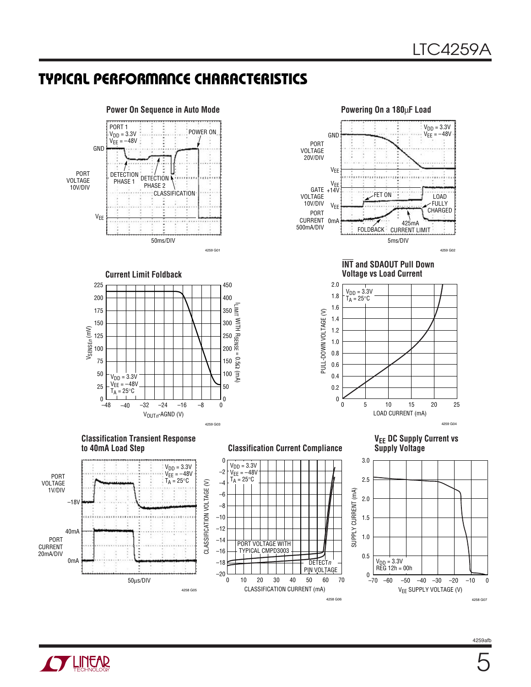### **TYPICAL PERFORMANCE CHARACTERISTICS**

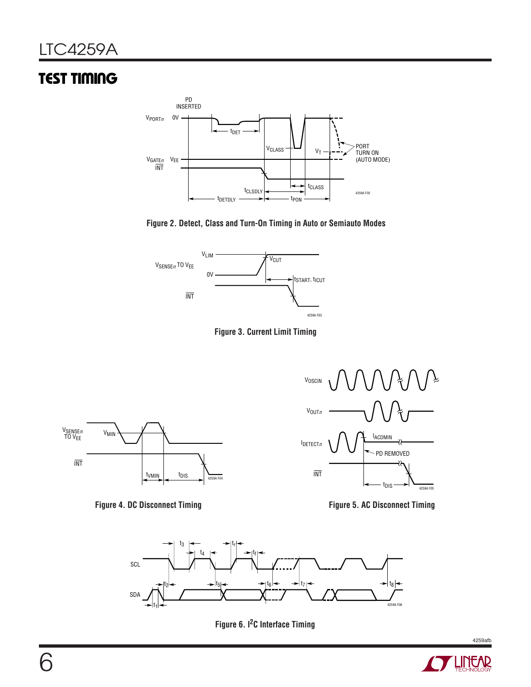# **TEST TIMING**



**Figure 2. Detect, Class and Turn-On Timing in Auto or Semiauto Modes**









**Figure 4. DC Disconnect Timing Figure 5. AC Disconnect Timing**



**Figure 6. I2C Interface Timing**

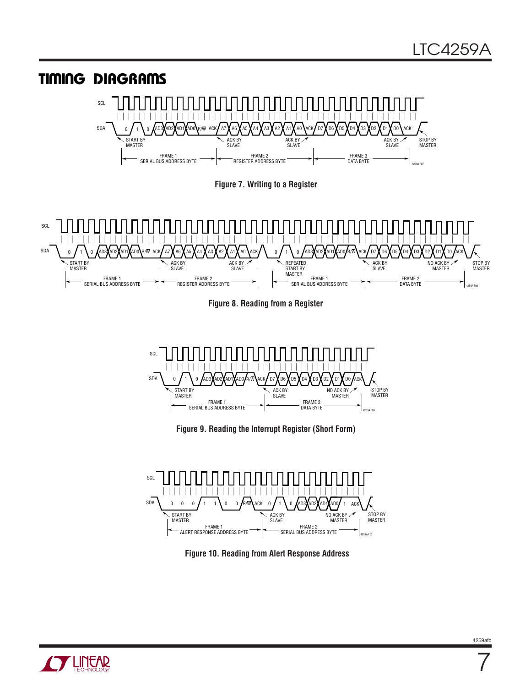



7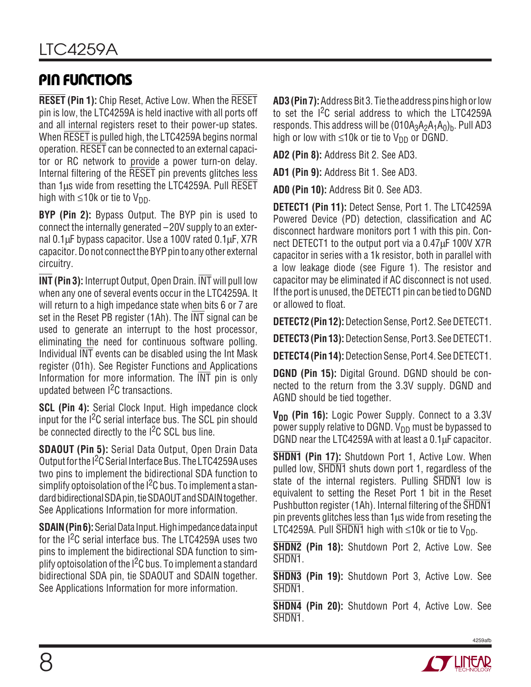# **PIN FUNCTIONS**

**RESET (Pin 1):** Chip Reset, Active Low. When the RESET pin is low, the LTC4259A is held inactive with all ports off and all internal registers reset to their power-up states. When RESET is pulled high, the LTC4259A begins normal operation. RESET can be connected to an external capacitor or RC network to provide a power turn-on delay. Internal filtering of the RESET pin prevents glitches less than 1µs wide from resetting the LTC4259A. Pull RESET high with  $\leq 10k$  or tie to V<sub>DD</sub>.

**BYP (Pin 2):** Bypass Output. The BYP pin is used to connect the internally generated –20V supply to an external 0.1µF bypass capacitor. Use a 100V rated 0.1µF, X7R capacitor. Do not connect the BYP pin to any other external circuitry.

**INT (Pin 3):** Interrupt Output, Open Drain. INT will pull low when any one of several events occur in the LTC4259A. It will return to a high impedance state when bits 6 or 7 are set in the Reset PB register (1Ah). The INT signal can be used to generate an interrupt to the host processor, eliminating the need for continuous software polling. Individual INT events can be disabled using the Int Mask register (01h). See Register Functions and Applications Information for more information. The INT pin is only updated between I2C transactions.

**SCL (Pin 4):** Serial Clock Input. High impedance clock input for the  $1<sup>2</sup>C$  serial interface bus. The SCL pin should be connected directly to the I<sup>2</sup>C SCL bus line.

**SDAOUT (Pin 5):** Serial Data Output, Open Drain Data Output for the I<sup>2</sup>C Serial Interface Bus. The LTC4259A uses two pins to implement the bidirectional SDA function to simplify optoisolation of the  $1<sup>2</sup>C$  bus. To implement a standard bidirectional SDA pin, tie SDAOUT and SDAIN together. See Applications Information for more information.

**SDAIN (Pin 6):** Serial Data Input. High impedance data input for the I<sup>2</sup>C serial interface bus. The LTC4259A uses two pins to implement the bidirectional SDA function to simplify optoisolation of the  $I^2C$  bus. To implement a standard bidirectional SDA pin, tie SDAOUT and SDAIN together. See Applications Information for more information.

**AD3 (Pin 7):** Address Bit 3. Tie the address pins high or low to set the I<sup>2</sup>C serial address to which the LTC4259A responds. This address will be  $(010A_3A_2A_1A_0)_b$ . Pull AD3 high or low with  $\leq 10k$  or tie to V<sub>DD</sub> or DGND.

**AD2 (Pin 8):** Address Bit 2. See AD3.

**AD1 (Pin 9):** Address Bit 1. See AD3.

**AD0 (Pin 10):** Address Bit 0. See AD3.

**DETECT1 (Pin 11):** Detect Sense, Port 1. The LTC4259A Powered Device (PD) detection, classification and AC disconnect hardware monitors port 1 with this pin. Connect DETECT1 to the output port via a 0.47µF 100V X7R capacitor in series with a 1k resistor, both in parallel with a low leakage diode (see Figure 1). The resistor and capacitor may be eliminated if AC disconnect is not used. If the port is unused, the DETECT1 pin can be tied to DGND or allowed to float.

**DETECT2 (Pin 12):** Detection Sense, Port 2. See DETECT1.

**DETECT3 (Pin 13):** Detection Sense, Port 3. See DETECT1.

**DETECT4 (Pin 14):** Detection Sense, Port 4. See DETECT1.

**DGND (Pin 15):** Digital Ground. DGND should be connected to the return from the 3.3V supply. DGND and AGND should be tied together.

**V<sub>DD</sub>** (Pin 16): Logic Power Supply. Connect to a 3.3V power supply relative to DGND.  $V_{DD}$  must be bypassed to DGND near the LTC4259A with at least a 0.1µF capacitor.

**SHDN1 (Pin 17):** Shutdown Port 1, Active Low. When pulled low, SHDN1 shuts down port 1, regardless of the state of the internal registers. Pulling SHDN1 low is equivalent to setting the Reset Port 1 bit in the Reset Pushbutton register (1Ah). Internal filtering of the SHDN1 pin prevents glitches less than 1µs wide from reseting the LTC4259A. Pull  $\overline{\text{SHDN1}}$  high with  $\leq 10k$  or tie to V<sub>DD</sub>.

**SHDN2 (Pin 18):** Shutdown Port 2, Active Low. See SHDN<sub>1</sub>.

**SHDN3 (Pin 19):** Shutdown Port 3, Active Low. See SHDN1.

**SHDN4 (Pin 20):** Shutdown Port 4, Active Low. See SHDN<sub>1</sub>.

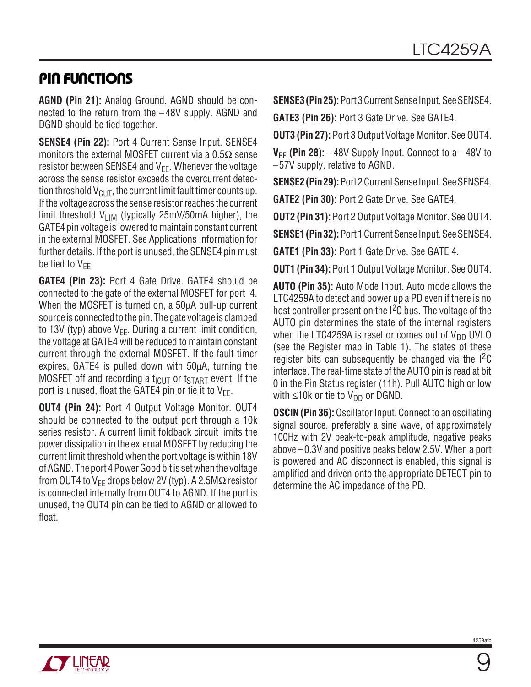### **PIN FUNCTIONS**

**AGND (Pin 21):** Analog Ground. AGND should be connected to the return from the –48V supply. AGND and DGND should be tied together.

**SENSE4 (Pin 22):** Port 4 Current Sense Input. SENSE4 monitors the external MOSFET current via a  $0.5\Omega$  sense resistor between SENSE4 and  $V_{FF}$ . Whenever the voltage across the sense resistor exceeds the overcurrent detection threshold  $V_{\text{CUT}}$ , the current limit fault timer counts up. If the voltage across the sense resistor reaches the current limit threshold  $V_{LIM}$  (typically 25mV/50mA higher), the GATE4 pin voltage is lowered to maintain constant current in the external MOSFET. See Applications Information for further details. If the port is unused, the SENSE4 pin must be tied to  $V_{FF}$ .

**GATE4 (Pin 23):** Port 4 Gate Drive. GATE4 should be connected to the gate of the external MOSFET for port 4. When the MOSFET is turned on, a 50µA pull-up current source is connected to the pin. The gate voltage is clamped to 13V (typ) above  $V_{EE}$ . During a current limit condition, the voltage at GATE4 will be reduced to maintain constant current through the external MOSFET. If the fault timer expires, GATE4 is pulled down with 50µA, turning the MOSFET off and recording a  $t_{\text{ICUT}}$  or  $t_{\text{START}}$  event. If the port is unused, float the GATE4 pin or tie it to  $V_{FF}$ .

**OUT4 (Pin 24):** Port 4 Output Voltage Monitor. OUT4 should be connected to the output port through a 10k series resistor. A current limit foldback circuit limits the power dissipation in the external MOSFET by reducing the current limit threshold when the port voltage is within 18V of AGND. The port 4 Power Good bit is set when the voltage from OUT4 to V<sub>EE</sub> drops below 2V (typ). A 2.5M $\Omega$  resistor is connected internally from OUT4 to AGND. If the port is unused, the OUT4 pin can be tied to AGND or allowed to float.

**SENSE3 (Pin 25):** Port 3 Current Sense Input. See SENSE4.

**GATE3 (Pin 26):** Port 3 Gate Drive. See GATE4.

**OUT3 (Pin 27):** Port 3 Output Voltage Monitor. See OUT4.

 $V_{EE}$  (Pin 28):  $-48V$  Supply Input. Connect to a  $-48V$  to –57V supply, relative to AGND.

**SENSE2 (Pin 29):** Port 2 Current Sense Input. See SENSE4. **GATE2 (Pin 30):** Port 2 Gate Drive. See GATE4.

**OUT2 (Pin 31):** Port 2 Output Voltage Monitor. See OUT4.

**SENSE1 (Pin 32):** Port 1 Current Sense Input. See SENSE4.

**GATE1 (Pin 33):** Port 1 Gate Drive. See GATE 4.

**OUT1 (Pin 34):** Port 1 Output Voltage Monitor. See OUT4.

**AUTO (Pin 35):** Auto Mode Input. Auto mode allows the LTC4259A to detect and power up a PD even if there is no host controller present on the I<sup>2</sup>C bus. The voltage of the AUTO pin determines the state of the internal registers when the LTC4259A is reset or comes out of  $V_{DD}$  UVLO (see the Register map in Table 1). The states of these register bits can subsequently be changed via the  $1<sup>2</sup>C$ interface. The real-time state of the AUTO pin is read at bit 0 in the Pin Status register (11h). Pull AUTO high or low with  $\leq$ 10k or tie to V<sub>DD</sub> or DGND.

**OSCIN (Pin 36):** Oscillator Input. Connect to an oscillating signal source, preferably a sine wave, of approximately 100Hz with 2V peak-to-peak amplitude, negative peaks above –0.3V and positive peaks below 2.5V. When a port is powered and AC disconnect is enabled, this signal is amplified and driven onto the appropriate DETECT pin to determine the AC impedance of the PD.

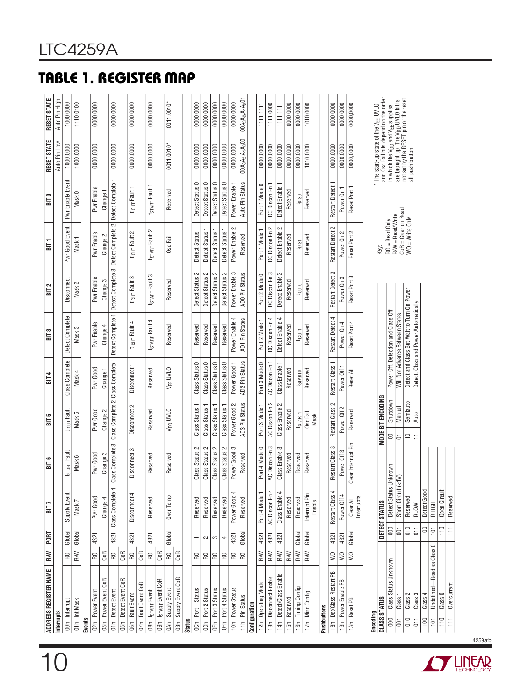Class 4 100 Detect Good Undefined—Read as Class 0 101 RHIGH Class 0 110 Open Circuit Overcurrent 111 Reserved

Detect Good<br>RHIGH<br>Open Circuit<br>Reserved

 $\frac{1}{\frac{1}{\frac{1}{\frac{1}{\frac{1}{\cdots}}}}}$ 

 $\begin{tabular}{|c|c|} \hline 100 & Class 4 \\ \hline 101 & Undefined—Read as Class 0 \\ \hline 110 & Class 0 \\ \hline 111 & Overcurrent \\ \hline \end{tabular}.$ 



4259afb

|                  | ADDRESS REGISTER NAME    | R/W                            | PORT           | BIT <sub>7</sub>        | BIT <sub>6</sub>         | <b>BIT5</b>              | <b>BIT4</b>                | BIT <sub>3</sub>                           | BIT <sub>2</sub>           | $\frac{1}{2}$                           | BIT O                      | RESET STATE                                                                                                         | RESET STATE        |
|------------------|--------------------------|--------------------------------|----------------|-------------------------|--------------------------|--------------------------|----------------------------|--------------------------------------------|----------------------------|-----------------------------------------|----------------------------|---------------------------------------------------------------------------------------------------------------------|--------------------|
| Interrupts       |                          |                                |                |                         |                          |                          |                            |                                            |                            |                                         |                            | Auto Pin Low                                                                                                        | Auto Pin High      |
| $\overline{5}$   | Interrupt                | œ                              | Global         | Supply Event            | <b>ISTART Fault</b>      | t <sub>lCUT</sub> Fault  | Class Complete             | Detect Complete                            | Disconnect                 | Pwr Good Event                          | Pwr Enable Event           | 1000,0000                                                                                                           | 1000,0000          |
| 01h              | Int Mask                 | RW                             | Global         | Mask7                   | Mask 6                   | Mask 5                   | Mask 4                     | Mask 3                                     | Mask 2                     | Mask <sub>1</sub>                       | Mask 0                     | 1000,0000                                                                                                           | 1110,0100          |
| <b>Events</b>    |                          |                                |                |                         |                          |                          |                            |                                            |                            |                                         |                            |                                                                                                                     |                    |
|                  | 02h Power Event          | œ                              | 4321           | Pwr Good                | Pwr Good                 | Pwr Good                 | Pwr Good                   | Pwr Enable                                 | Pwr Enable                 | Pwr Enable                              | Pwr Enable                 | 0000,0000                                                                                                           | 0000,0000          |
| $\overline{5}$   | Power Event CoR          | CoR                            |                | Change 4                | Change 3                 | Change 2                 | Change 1                   | Change 4                                   | Change 3                   | Change 2                                | Change 1                   |                                                                                                                     |                    |
| d4h              | Detect Event             | $\mathsf R$                    | 4321           | Class Complete 4        | Class Complete 3         | Class Complete 2         | Class Complete 1           | Detect Complete 4                          | Detect Complete 3          | Detect Complete 2                       | Detect Complete            | 0000,0000                                                                                                           | 0000,0000          |
| 65h              | Detect Event CoR         | CoR                            |                |                         |                          |                          |                            |                                            |                            |                                         |                            |                                                                                                                     |                    |
| $\overline{6h}$  | Fault Event              | $\mathsf R$                    | 4321           | Disconnect 4            | isconnect 3<br>$\supset$ | Disconnect 2             | Disconnect 1               | t <sub>ICUT</sub> Fault 4                  | t <sub>ICUT</sub> Fault 3  | t <sub>ICUT</sub> Fault 2               | t <sub>ICUT</sub> Fault 1  | 0000,0000                                                                                                           | 0000,0000          |
| $\overline{07h}$ | Fault Event CoR          | CoR                            |                |                         |                          |                          |                            |                                            |                            |                                         |                            |                                                                                                                     |                    |
| $\overline{180}$ | t <sub>START</sub> Event | œ                              | 4321           | Reserved                | Reserved                 | Reserved                 | Reserved                   | t <sub>START</sub> Fault 4                 | t <sub>START</sub> Fault 3 | t <sub>START</sub> Fault 2              | t <sub>START</sub> Fault 1 | 0000,0000                                                                                                           | 0000,0000          |
| $\sqrt{100}$     | <b>tsTART</b> Event CoR  | <b>GOR</b>                     |                |                         |                          |                          |                            |                                            |                            |                                         |                            |                                                                                                                     |                    |
| 0Ah              | Supply Event             | $\mathsf{R}\mathsf{O}$         | Global         | Over Temp               | Reserved                 | V <sub>DD</sub> UVLO     | V <sub>EE</sub> UVLO       | Reserved                                   | Reserved                   | Osc Fail                                | Reserved                   | $0011,0010*$                                                                                                        | 0011,0010*         |
| $\overline{ABn}$ | Supply Event CoR         | CoR                            |                |                         |                          |                          |                            |                                            |                            |                                         |                            |                                                                                                                     |                    |
| <b>Status</b>    |                          |                                |                |                         |                          |                          |                            |                                            |                            |                                         |                            |                                                                                                                     |                    |
|                  | OCh   Port 1 Status      | œ                              |                | Reserved                | Class Status 2           | Class Status 1           | Class Status 0             | Reserved                                   | Detect Status 2            | Detect Status 1                         | Detect Status 0            | 0000,0000                                                                                                           | 0000,0000          |
| $\sqrt{100}$     | Port 2 Status            | $\mathop{\mathsf{R}}\nolimits$ | $\sim$         | Reserved                | Class Status 2           | Class Status 1           | Class Status 0             | Reserved                                   | $\sim$<br>Detect Status    | Detect Status                           | Detect Status 0            | 0000,0000                                                                                                           | 0000,0000          |
| $\overline{6}$   | Port 3 Status            | R <sub>O</sub>                 | က              | Reserved                | Class Status 2           | Class Status 1           | Class Status 0             | Reserved                                   | $\sim$<br>Detect Status    | Detect Status 1                         | Detect Status 0            | 0000,0000                                                                                                           | 0000,0000          |
| 0Fh              | Port 4 Status            | <b>PS</b>                      | 4              | Reserved                | Class Status 2           | Class Status 1           | Class Status 0             | Reserved                                   | Detect Status 2            | Detect Status 1                         | Detect Status 0            | 0000,0000                                                                                                           | 0000,0000          |
| $\frac{1}{2}$    | Power Status             | $\mathop{\mathbb{R}}$          | 4321           | Power Good 4            | Power Good 3             | Power Good 2             | Power Good 1               | Power Enable 4                             | Power Enable 3             | $\sim$<br>Power Enable                  | Power Enable 1             | 0000,0000                                                                                                           | 0000,0000          |
|                  | 11h Pin Status           | ¦≳                             | Global         | Reserved                | Reserved                 | AD3 Pin Status           | AD2 Pin Status             | <b>AD1 Pin Status</b>                      | ADO Pin Status             | Reserved                                | Auto Pin Status            | 00A <sub>3</sub> A <sub>2</sub> ,A <sub>1</sub> A <sub>0</sub> 00                                                   | $00A_3A_2A_1A_001$ |
|                  | Configuration            |                                |                |                         |                          |                          |                            |                                            |                            |                                         |                            |                                                                                                                     |                    |
| 12h              | Operating Mode           | RW                             | 4321           | Port 4 Mode 1           | Port 4 Mode 0            | Port 3 Mode 1            | Port 3 Mode 0              | Port 2 Mode 1                              | Port 2 Mode 0              | Port 1 Mode 1                           | Port 1 Mode 0              | 0000,0000                                                                                                           | 1111,1111          |
| $\frac{13h}{2}$  | Disconnect Enable        | RW                             | 4321           | AC Discon En            | AC Discon En 3           | AC Discon En 2           | AC Discon En               | DC Discon En 4                             | DC Discon En 3             | DC Discon En 2                          | DC Discon En               | 0000,0000                                                                                                           | 1111,0000          |
| $\frac{1}{4h}$   | Detect/Class Enable      | RW                             | 4321           | Class Enable            | Class Enable 3           | Class Enable 2           | Class Enable 1             | Detect Enable 4                            | S<br>Detect Enable         | $\sim$<br>Detect Enable                 | Detect Enable 1            | 0000,0000                                                                                                           | 1111,1111          |
| 15h              | Reserved                 | RW                             |                | Reserved                | Reserved                 | Reserved                 | Reserved                   | Reserved                                   | Reserved                   | Reserved                                | Reserved                   | 0000,0000                                                                                                           | 0000,0000          |
| 16h              | <b>Timing Config</b>     | RW                             | Global         | Reserved                | Reserved                 | <b>ISTART1</b>           | <b>t</b> <sub>STARTO</sub> | $t_{\text{GUT}}$                           | ticuro                     | $t_{\text{DIS}}$                        | $t_{\text{DISO}}$          | 0000,0000                                                                                                           | 0000,0000          |
| 17h              | Misc Config              | RW                             | Global         | Interrupt Pin<br>Enable | Reserved                 | Osc Fail<br>Mask         | Reserved                   | Reserved                                   | Reserved                   | Reserved                                | Reserved                   | 1010,0000                                                                                                           | 1010,0000          |
| Pushbuttons      |                          |                                |                |                         |                          |                          |                            |                                            |                            |                                         |                            |                                                                                                                     |                    |
| $\frac{18h}{h}$  | Det/Class Restart PB     | $\approx$                      | 4321           | Restart Class 4         | Restart Class 3          | Restart Class 2          | Restart Class 1            | Restart Detect 4                           | Restart Detect 3           | Restart Detect 2                        | <b>Restart Detect</b>      | 0000,0000                                                                                                           | 0000,0000          |
| 19h              | Power Enable PB          | $\geqslant$                    | 4321           | Power Off 4             | Power Off 3              | Power Off 2              | Power Off 1                | Power On 4                                 | Power On 3                 | Power On 2                              | Power On 1                 | 0000,0000                                                                                                           | 0000,0000          |
| 1Ah              | Reset PB                 | $\geqslant$                    | Global         | Clear All<br>Interrupts | Clear Interrupt Pin      | Reserved                 | Reset All                  | Reset Port 4                               | Reset Port 3               | Reset Port 2                            | Reset Port 1               | 0000,0000                                                                                                           | 0000,0000          |
| Encoding         |                          |                                |                |                         |                          |                          |                            |                                            |                            |                                         |                            |                                                                                                                     |                    |
|                  | <b>CLASS STATUS</b>      |                                |                | DETECT STATUS           |                          | <b>MODE BIT ENCODING</b> |                            |                                            |                            | Key:                                    |                            | * The start-up state of the V <sub>EE</sub> UVLO<br>and Osc Fail bits depend on the order                           |                    |
| 000              | Class Status Unknown     |                                | 000            | Detect Status Unkr      | <b>IOWN</b>              | Shutdown<br>$\mathbf{S}$ |                            | Power Off, Detection and Class Off         |                            | $RO = Read Only$                        |                            | in which the V <sub>DD</sub> and V <sub>EE</sub> supplies<br>are brought up <u>. The V<sub>DD</sub> UVLO</u> bit is |                    |
| $\overline{0}0$  | Class <sup>-</sup>       |                                | $\overline{0}$ | Short Circuit (<1V)     |                          | Manual<br>$\overline{5}$ |                            | Will Not Advance Between States            |                            | CoR = Clear on Read<br>R/W = Read/Write |                            | not set by the RESET pin or the reset                                                                               |                    |
| $\frac{1}{5}$    | Class 2                  |                                | $\frac{1}{5}$  | Reserved                |                          | Semiauto<br>$\cong$      |                            | Detect and Class But Wait to Turn On Power |                            | $WO = Write Only$                       |                            | all push button.                                                                                                    |                    |
| $\overline{5}$   | Class 3                  |                                | $\overline{5}$ | RLOW                    |                          | Auto<br>$\overline{a}$   |                            | Detect, Class and Power Automatically      |                            |                                         |                            |                                                                                                                     |                    |

# **TABLE 1. REGISTER MAP**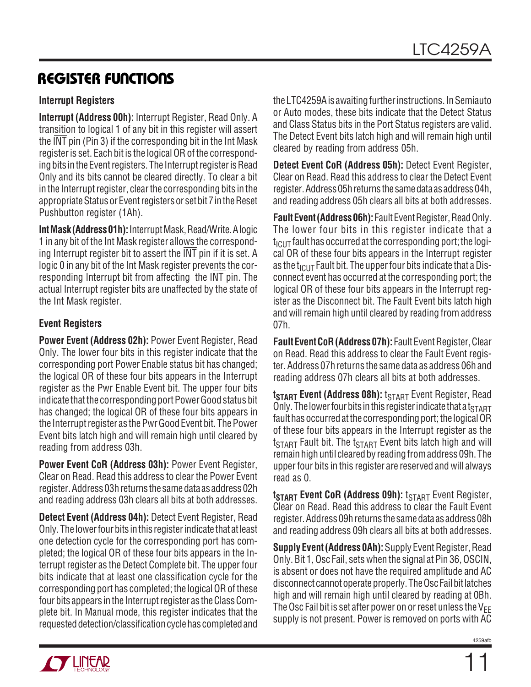### **Interrupt Registers**

**Interrupt (Address 00h):** Interrupt Register, Read Only. A transition to logical 1 of any bit in this register will assert the INT pin (Pin 3) if the corresponding bit in the Int Mask register is set. Each bit is the logical OR of the corresponding bits in the Event registers. The Interrupt register is Read Only and its bits cannot be cleared directly. To clear a bit in the Interrupt register, clear the corresponding bits in the appropriate Status or Event registers or set bit 7 in the Reset Pushbutton register (1Ah).

**Int Mask (Address 01h):** Interrupt Mask, Read/Write. A logic 1 in any bit of the Int Mask register allows the corresponding Interrupt register bit to assert the INT pin if it is set. A logic 0 in any bit of the Int Mask register prevents the corresponding Interrupt bit from affecting the INT pin. The actual Interrupt register bits are unaffected by the state of the Int Mask register.

### **Event Registers**

**Power Event (Address 02h):** Power Event Register, Read Only. The lower four bits in this register indicate that the corresponding port Power Enable status bit has changed; the logical OR of these four bits appears in the Interrupt register as the Pwr Enable Event bit. The upper four bits indicate that the corresponding port Power Good status bit has changed; the logical OR of these four bits appears in the Interrupt register as the Pwr Good Event bit. The Power Event bits latch high and will remain high until cleared by reading from address 03h.

**Power Event CoR (Address 03h):** Power Event Register, Clear on Read. Read this address to clear the Power Event register. Address 03h returns the same data as address 02h and reading address 03h clears all bits at both addresses.

**Detect Event (Address 04h):** Detect Event Register, Read Only. The lower four bits in this register indicate that at least one detection cycle for the corresponding port has completed; the logical OR of these four bits appears in the Interrupt register as the Detect Complete bit. The upper four bits indicate that at least one classification cycle for the corresponding port has completed; the logical OR of these four bits appears in the Interrupt register as the Class Complete bit. In Manual mode, this register indicates that the requested detection/classification cycle has completed and

the LTC4259A is awaiting further instructions. In Semiauto or Auto modes, these bits indicate that the Detect Status and Class Status bits in the Port Status registers are valid. The Detect Event bits latch high and will remain high until cleared by reading from address 05h.

**Detect Event CoR (Address 05h):** Detect Event Register, Clear on Read. Read this address to clear the Detect Event register. Address 05h returns the same data as address 04h, and reading address 05h clears all bits at both addresses.

**Fault Event (Address 06h):** Fault Event Register, Read Only. The lower four bits in this register indicate that a  $t_{\text{ICUT}}$  fault has occurred at the corresponding port; the logical OR of these four bits appears in the Interrupt register as the  $t_{\text{ICUT}}$  Fault bit. The upper four bits indicate that a Disconnect event has occurred at the corresponding port; the logical OR of these four bits appears in the Interrupt register as the Disconnect bit. The Fault Event bits latch high and will remain high until cleared by reading from address 07h.

**Fault Event CoR (Address 07h):** Fault Event Register, Clear on Read. Read this address to clear the Fault Event register. Address 07h returns the same data as address 06h and reading address 07h clears all bits at both addresses.

**t<sub>START</sub> Event (Address 08h):** t<sub>START</sub> Event Register, Read Only. The lower four bits in this register indicate that a  $t_{\text{STAT}}$ fault has occurred at the corresponding port; the logical OR of these four bits appears in the Interrupt register as the  $t_{\footnotesize{\text{START}}}$  Fault bit. The  $t_{\footnotesize{\text{START}}}$  Event bits latch high and will remain high until cleared by reading from address 09h. The upper four bits in this register are reserved and will always read as 0.

**tSTART Event CoR (Address 09h):** t<sub>START</sub> Event Register, Clear on Read. Read this address to clear the Fault Event register. Address 09h returns the same data as address 08h and reading address 09h clears all bits at both addresses.

**Supply Event (Address 0Ah):** Supply Event Register, Read Only. Bit 1, Osc Fail, sets when the signal at Pin 36, OSCIN, is absent or does not have the required amplitude and AC disconnect cannot operate properly. The Osc Fail bit latches high and will remain high until cleared by reading at 0Bh. The Osc Fail bit is set after power on or reset unless the  $V_{FF}$ supply is not present. Power is removed on ports with AC

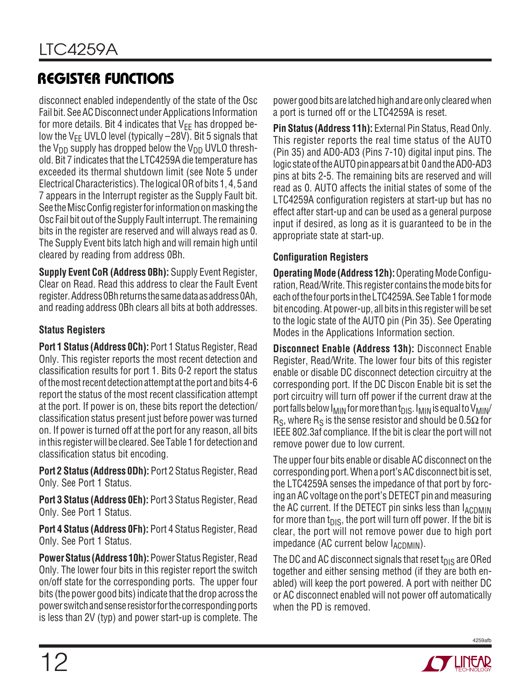disconnect enabled independently of the state of the Osc Fail bit. See AC Disconnect under Applications Information for more details. Bit 4 indicates that  $V_{FF}$  has dropped below the V<sub>EE</sub> UVLO level (typically  $-28V$ ). Bit 5 signals that the  $V_{DD}$  supply has dropped below the  $V_{DD}$  UVLO threshold. Bit 7 indicates that the LTC4259A die temperature has exceeded its thermal shutdown limit (see Note 5 under Electrical Characteristics). The logical OR of bits 1, 4, 5 and 7 appears in the Interrupt register as the Supply Fault bit. See the Misc Config register for information on masking the Osc Fail bit out of the Supply Fault interrupt. The remaining bits in the register are reserved and will always read as 0. The Supply Event bits latch high and will remain high until cleared by reading from address 0Bh.

**Supply Event CoR (Address 0Bh):** Supply Event Register, Clear on Read. Read this address to clear the Fault Event register. Address 0Bh returns the same data as address 0Ah, and reading address 0Bh clears all bits at both addresses.

### **Status Registers**

**Port 1 Status (Address 0Ch):** Port 1 Status Register, Read Only. This register reports the most recent detection and classification results for port 1. Bits 0-2 report the status of the most recent detection attempt at the port and bits 4-6 report the status of the most recent classification attempt at the port. If power is on, these bits report the detection/ classification status present just before power was turned on. If power is turned off at the port for any reason, all bits in this register will be cleared. See Table 1 for detection and classification status bit encoding.

**Port 2 Status (Address 0Dh):** Port 2 Status Register, Read Only. See Port 1 Status.

**Port 3 Status (Address 0Eh):** Port 3 Status Register, Read Only. See Port 1 Status.

**Port 4 Status (Address 0Fh):** Port 4 Status Register, Read Only. See Port 1 Status.

**Power Status (Address 10h):** Power Status Register, Read Only. The lower four bits in this register report the switch on/off state for the corresponding ports. The upper four bits (the power good bits) indicate that the drop across the power switch and sense resistor for the corresponding ports is less than 2V (typ) and power start-up is complete. The power good bits are latched high and are only cleared when a port is turned off or the LTC4259A is reset.

**Pin Status (Address 11h):** External Pin Status, Read Only. This register reports the real time status of the AUTO (Pin 35) and AD0-AD3 (Pins 7-10) digital input pins. The logic state of the AUTO pin appears at bit 0 and the AD0-AD3 pins at bits 2-5. The remaining bits are reserved and will read as 0. AUTO affects the initial states of some of the LTC4259A configuration registers at start-up but has no effect after start-up and can be used as a general purpose input if desired, as long as it is guaranteed to be in the appropriate state at start-up.

### **Configuration Registers**

**Operating Mode (Address 12h):** Operating Mode Configuration, Read/Write. This register contains the mode bits for each of the four ports in the LTC4259A. See Table 1 for mode bit encoding. At power-up, all bits in this register will be set to the logic state of the AUTO pin (Pin 35). See Operating Modes in the Applications Information section.

**Disconnect Enable (Address 13h):** Disconnect Enable Register, Read/Write. The lower four bits of this register enable or disable DC disconnect detection circuitry at the corresponding port. If the DC Discon Enable bit is set the port circuitry will turn off power if the current draw at the port falls below  $I_{MIN}$  for more than t<sub>DIS</sub>.  $I_{MIN}$  is equal to  $V_{MIN}$ /  $R_S$ , where  $R_S$  is the sense resistor and should be 0.5 $\Omega$  for IEEE 802.3af compliance. If the bit is clear the port will not remove power due to low current.

The upper four bits enable or disable AC disconnect on the corresponding port. When a port's AC disconnect bit is set, the LTC4259A senses the impedance of that port by forcing an AC voltage on the port's DETECT pin and measuring the AC current. If the DETECT pin sinks less than  $I_{\text{ACDMIN}}$ for more than  $t_{DIS}$ , the port will turn off power. If the bit is clear, the port will not remove power due to high port impedance (AC current below  $I_{\text{ACDMIN}}$ ).

The DC and AC disconnect signals that reset  $t_{\text{DIS}}$  are ORed together and either sensing method (if they are both enabled) will keep the port powered. A port with neither DC or AC disconnect enabled will not power off automatically when the PD is removed.

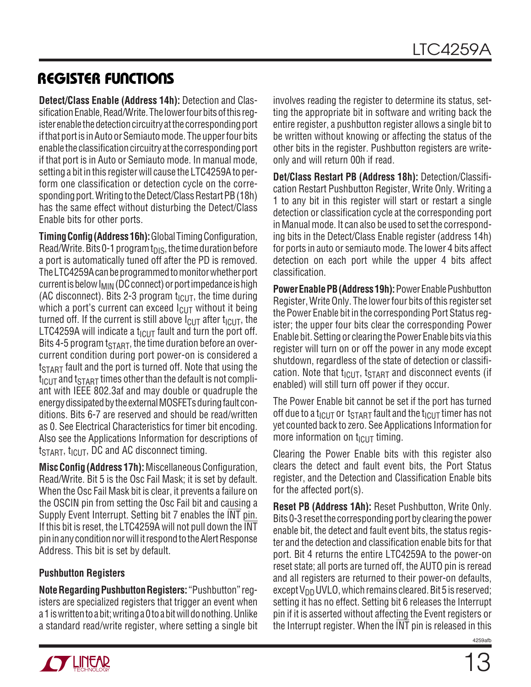**Detect/Class Enable (Address 14h):** Detection and Classification Enable, Read/Write. The lower four bits of this register enable the detection circuitry at the corresponding port if that port is in Auto or Semiauto mode. The upper four bits enable the classification circuitry at the corresponding port if that port is in Auto or Semiauto mode. In manual mode, setting a bit in this register will cause the LTC4259A to perform one classification or detection cycle on the corresponding port. Writing to the Detect/Class Restart PB (18h) has the same effect without disturbing the Detect/Class Enable bits for other ports.

**Timing Config (Address 16h):** Global Timing Configuration, Read/Write. Bits 0-1 program  $t_{DIS}$ , the time duration before a port is automatically tuned off after the PD is removed. The LTC4259A can be programmed to monitor whether port current is below  $I_{\text{MIN}}$  (DC connect) or port impedance is high (AC disconnect). Bits 2-3 program  $t_{\text{ICUT}}$ , the time during which a port's current can exceed  $I_{\text{ClT}}$  without it being turned off. If the current is still above  $I_{\text{ClIT}}$  after  $t_{\text{ICUT}}$ , the LTC4259A will indicate a  $t_{\text{ICUT}}$  fault and turn the port off. Bits 4-5 program  $t_{\text{START}}$ , the time duration before an overcurrent condition during port power-on is considered a  $t_{\text{STAT}}$  fault and the port is turned off. Note that using the  $t_{\text{ICUT}}$  and  $t_{\text{STAT}}$  times other than the default is not compliant with IEEE 802.3af and may double or quadruple the energy dissipated by the external MOSFETs during fault conditions. Bits 6-7 are reserved and should be read/written as 0. See Electrical Characteristics for timer bit encoding. Also see the Applications Information for descriptions of  $t<sub>STAT</sub>$ ,  $t<sub>ICUT</sub>$ , DC and AC disconnect timing.

**Misc Config (Address 17h):** Miscellaneous Configuration, Read/Write. Bit 5 is the Osc Fail Mask; it is set by default. When the Osc Fail Mask bit is clear, it prevents a failure on the OSCIN pin from setting the Osc Fail bit and causing a Supply Event Interrupt. Setting bit 7 enables the INT pin. If this bit is reset, the LTC4259A will not pull down the INT pin in any condition nor will it respond to the Alert Response Address. This bit is set by default.

### **Pushbutton Registers**

**Note Regarding Pushbutton Registers:** "Pushbutton" registers are specialized registers that trigger an event when a 1 is written to a bit; writing a 0 to a bit will do nothing. Unlike a standard read/write register, where setting a single bit involves reading the register to determine its status, setting the appropriate bit in software and writing back the entire register, a pushbutton register allows a single bit to be written without knowing or affecting the status of the other bits in the register. Pushbutton registers are writeonly and will return 00h if read.

**Det/Class Restart PB (Address 18h):** Detection/Classification Restart Pushbutton Register, Write Only. Writing a 1 to any bit in this register will start or restart a single detection or classification cycle at the corresponding port in Manual mode. It can also be used to set the corresponding bits in the Detect/Class Enable register (address 14h) for ports in auto or semiauto mode. The lower 4 bits affect detection on each port while the upper 4 bits affect classification.

**Power Enable PB (Address 19h):** Power Enable Pushbutton Register, Write Only. The lower four bits of this register set the Power Enable bit in the corresponding Port Status register; the upper four bits clear the corresponding Power Enable bit. Setting or clearing the Power Enable bits via this register will turn on or off the power in any mode except shutdown, regardless of the state of detection or classification. Note that  $t_{ICUT}$ ,  $t_{START}$  and disconnect events (if enabled) will still turn off power if they occur.

The Power Enable bit cannot be set if the port has turned off due to a t<sub>ICUT</sub> or t<sub>START</sub> fault and the t<sub>ICUT</sub> timer has not yet counted back to zero. See Applications Information for more information on  $t_{ICUT}$  timing.

Clearing the Power Enable bits with this register also clears the detect and fault event bits, the Port Status register, and the Detection and Classification Enable bits for the affected port(s).

**Reset PB (Address 1Ah):** Reset Pushbutton, Write Only. Bits 0-3 reset the corresponding port by clearing the power enable bit, the detect and fault event bits, the status register and the detection and classification enable bits for that port. Bit 4 returns the entire LTC4259A to the power-on reset state; all ports are turned off, the AUTO pin is reread and all registers are returned to their power-on defaults, except  $V_{DD}$  UVLO, which remains cleared. Bit 5 is reserved; setting it has no effect. Setting bit 6 releases the Interrupt pin if it is asserted without affecting the Event registers or the Interrupt register. When the INT pin is released in this

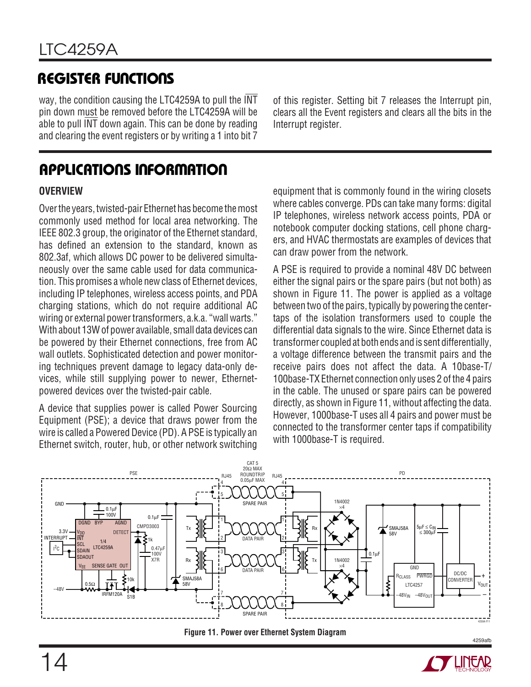way, the condition causing the LTC4259A to pull the INT pin down must be removed before the LTC4259A will be able to pull INT down again. This can be done by reading and clearing the event registers or by writing a 1 into bit 7

**APPLICATIONS INFORMATION** 

### **OVERVIEW**

Over the years, twisted-pair Ethernet has become the most commonly used method for local area networking. The IEEE 802.3 group, the originator of the Ethernet standard, has defined an extension to the standard, known as 802.3af, which allows DC power to be delivered simultaneously over the same cable used for data communication. This promises a whole new class of Ethernet devices, including IP telephones, wireless access points, and PDA charging stations, which do not require additional AC wiring or external power transformers, a.k.a. "wall warts." With about 13W of power available, small data devices can be powered by their Ethernet connections, free from AC wall outlets. Sophisticated detection and power monitoring techniques prevent damage to legacy data-only devices, while still supplying power to newer, Ethernetpowered devices over the twisted-pair cable.

A device that supplies power is called Power Sourcing Equipment (PSE); a device that draws power from the wire is called a Powered Device (PD). A PSE is typically an Ethernet switch, router, hub, or other network switching of this register. Setting bit 7 releases the Interrupt pin, clears all the Event registers and clears all the bits in the Interrupt register.

equipment that is commonly found in the wiring closets where cables converge. PDs can take many forms: digital IP telephones, wireless network access points, PDA or notebook computer docking stations, cell phone chargers, and HVAC thermostats are examples of devices that can draw power from the network.

A PSE is required to provide a nominal 48V DC between either the signal pairs or the spare pairs (but not both) as shown in Figure 11. The power is applied as a voltage between two of the pairs, typically by powering the centertaps of the isolation transformers used to couple the differential data signals to the wire. Since Ethernet data is transformer coupled at both ends and is sent differentially, a voltage difference between the transmit pairs and the receive pairs does not affect the data. A 10base-T/ 100base-TX Ethernet connection only uses 2 of the 4 pairs in the cable. The unused or spare pairs can be powered directly, as shown in Figure 11, without affecting the data. However, 1000base-T uses all 4 pairs and power must be connected to the transformer center taps if compatibility with 1000base-T is required.



**Figure 11. Power over Ethernet System Diagram**

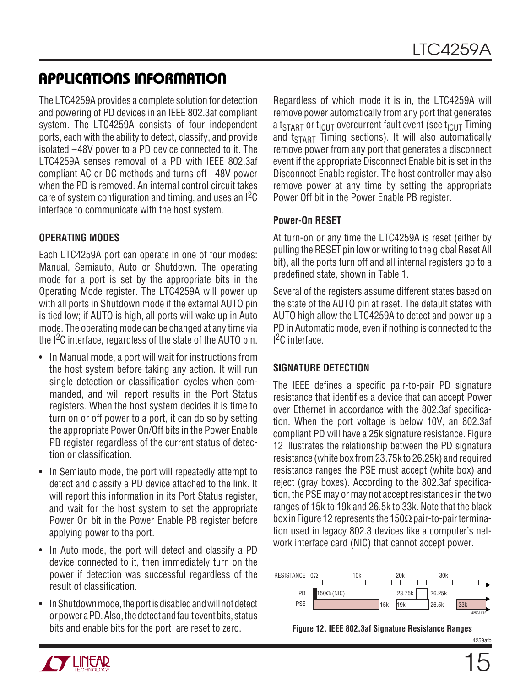The LTC4259A provides a complete solution for detection and powering of PD devices in an IEEE 802.3af compliant system. The LTC4259A consists of four independent ports, each with the ability to detect, classify, and provide isolated –48V power to a PD device connected to it. The LTC4259A senses removal of a PD with IEEE 802.3af compliant AC or DC methods and turns off –48V power when the PD is removed. An internal control circuit takes care of system configuration and timing, and uses an  ${}^{12}C$ interface to communicate with the host system.

### **OPERATING MODES**

Each LTC4259A port can operate in one of four modes: Manual, Semiauto, Auto or Shutdown. The operating mode for a port is set by the appropriate bits in the Operating Mode register. The LTC4259A will power up with all ports in Shutdown mode if the external AUTO pin is tied low; if AUTO is high, all ports will wake up in Auto mode. The operating mode can be changed at any time via the I2C interface, regardless of the state of the AUTO pin.

- In Manual mode, a port will wait for instructions from the host system before taking any action. It will run single detection or classification cycles when commanded, and will report results in the Port Status registers. When the host system decides it is time to turn on or off power to a port, it can do so by setting the appropriate Power On/Off bits in the Power Enable PB register regardless of the current status of detection or classification.
- In Semiauto mode, the port will repeatedly attempt to detect and classify a PD device attached to the link. It will report this information in its Port Status register, and wait for the host system to set the appropriate Power On bit in the Power Enable PB register before applying power to the port.
- In Auto mode, the port will detect and classify a PD device connected to it, then immediately turn on the power if detection was successful regardless of the result of classification.
- In Shutdown mode, the port is disabled and will not detect or power a PD. Also, the detect and fault event bits, status bits and enable bits for the port are reset to zero.

Regardless of which mode it is in, the LTC4259A will remove power automatically from any port that generates a t<sub>START</sub> or t<sub>ICUT</sub> overcurrent fault event (see t<sub>ICUT</sub> Timing and  $t<sub>STAT</sub>$  Timing sections). It will also automatically remove power from any port that generates a disconnect event if the appropriate Disconnect Enable bit is set in the Disconnect Enable register. The host controller may also remove power at any time by setting the appropriate Power Off bit in the Power Enable PB register.

### **Power-On RESET**

At turn-on or any time the LTC4259A is reset (either by pulling the RESET pin low or writing to the global Reset All bit), all the ports turn off and all internal registers go to a predefined state, shown in Table 1.

Several of the registers assume different states based on the state of the AUTO pin at reset. The default states with AUTO high allow the LTC4259A to detect and power up a PD in Automatic mode, even if nothing is connected to the I 2C interface.

### **SIGNATURE DETECTION**

The IEEE defines a specific pair-to-pair PD signature resistance that identifies a device that can accept Power over Ethernet in accordance with the 802.3af specification. When the port voltage is below 10V, an 802.3af compliant PD will have a 25k signature resistance. Figure 12 illustrates the relationship between the PD signature resistance (white box from 23.75k to 26.25k) and required resistance ranges the PSE must accept (white box) and reject (gray boxes). According to the 802.3af specification, the PSE may or may not accept resistances in the two ranges of 15k to 19k and 26.5k to 33k. Note that the black box in Figure 12 represents the 150 $\Omega$  pair-to-pair termination used in legacy 802.3 devices like a computer's network interface card (NIC) that cannot accept power.



**Figure 12. IEEE 802.3af Signature Resistance Ranges**



4259afl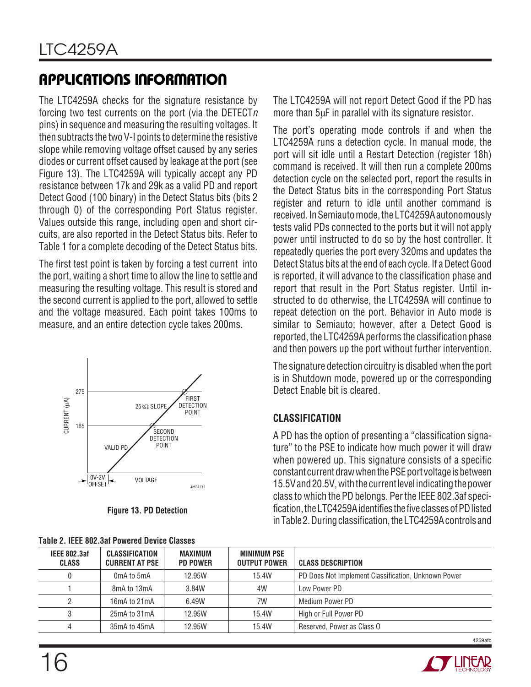The LTC4259A checks for the signature resistance by forcing two test currents on the port (via the DETECT $n$ pins) in sequence and measuring the resulting voltages. It then subtracts the two V-I points to determine the resistive slope while removing voltage offset caused by any series diodes or current offset caused by leakage at the port (see Figure 13). The LTC4259A will typically accept any PD resistance between 17k and 29k as a valid PD and report Detect Good (100 binary) in the Detect Status bits (bits 2 through 0) of the corresponding Port Status register. Values outside this range, including open and short circuits, are also reported in the Detect Status bits. Refer to Table 1 for a complete decoding of the Detect Status bits.

The first test point is taken by forcing a test current into the port, waiting a short time to allow the line to settle and measuring the resulting voltage. This result is stored and the second current is applied to the port, allowed to settle and the voltage measured. Each point takes 100ms to measure, and an entire detection cycle takes 200ms.



**Figure 13. PD Detection**

The LTC4259A will not report Detect Good if the PD has more than 5µF in parallel with its signature resistor.

The port's operating mode controls if and when the LTC4259A runs a detection cycle. In manual mode, the port will sit idle until a Restart Detection (register 18h) command is received. It will then run a complete 200ms detection cycle on the selected port, report the results in the Detect Status bits in the corresponding Port Status register and return to idle until another command is received. In Semiauto mode, the LTC4259A autonomously tests valid PDs connected to the ports but it will not apply power until instructed to do so by the host controller. It repeatedly queries the port every 320ms and updates the Detect Status bits at the end of each cycle. If a Detect Good is reported, it will advance to the classification phase and report that result in the Port Status register. Until instructed to do otherwise, the LTC4259A will continue to repeat detection on the port. Behavior in Auto mode is similar to Semiauto; however, after a Detect Good is reported, the LTC4259A performs the classification phase and then powers up the port without further intervention.

The signature detection circuitry is disabled when the port is in Shutdown mode, powered up or the corresponding Detect Enable bit is cleared.

### **CLASSIFICATION**

A PD has the option of presenting a "classification signature" to the PSE to indicate how much power it will draw when powered up. This signature consists of a specific constant current draw when the PSE port voltage is between 15.5V and 20.5V, with the current level indicating the power class to which the PD belongs. Per the IEEE 802.3af specification, the LTC4259A identifies the five classes of PD listed in Table 2. During classification, the LTC4259A controls and

|                                     | TADIG 2. ILLL OUZ.JAI T UWGIGU DGVIGG UIASSGS  |                            |                                           |                                                     |
|-------------------------------------|------------------------------------------------|----------------------------|-------------------------------------------|-----------------------------------------------------|
| <b>IEEE 802.3af</b><br><b>CLASS</b> | <b>CLASSIFICATION</b><br><b>CURRENT AT PSE</b> | MAXIMUM<br><b>PD POWER</b> | <b>MINIMUM PSE</b><br><b>OUTPUT POWER</b> | <b>CLASS DESCRIPTION</b>                            |
|                                     | OmA to 5mA                                     | 12.95W                     | 15.4W                                     | PD Does Not Implement Classification, Unknown Power |
|                                     | 8mA to 13mA                                    | 3.84W                      | 4W                                        | Low Power PD                                        |
|                                     | 16mA to 21mA                                   | 6.49W                      | 7W                                        | Medium Power PD                                     |
|                                     | 25mA to 31mA                                   | 12.95W                     | 15.4W                                     | High or Full Power PD                               |
|                                     | 35mA to 45mA                                   | 12.95W                     | 15.4W                                     | Reserved, Power as Class O                          |

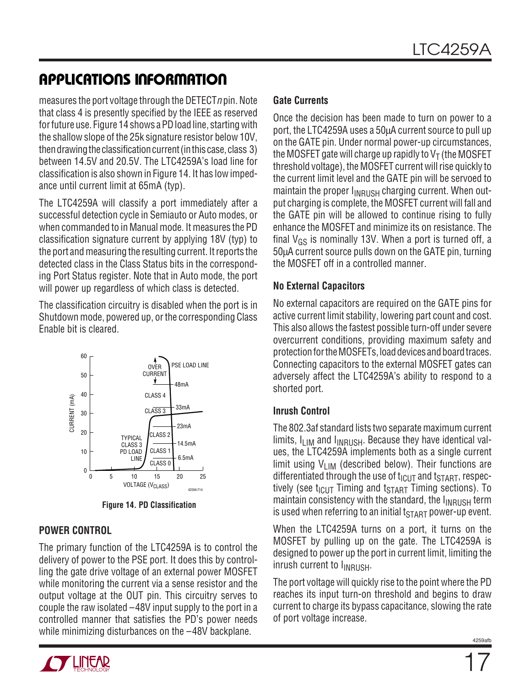measures the port voltage through the DETECT  $n$  pin. Note that class 4 is presently specified by the IEEE as reserved for future use. Figure 14 shows a PD load line, starting with the shallow slope of the 25k signature resistor below 10V, then drawing the classification current (in this case, class 3) between 14.5V and 20.5V. The LTC4259A's load line for classification is also shown in Figure 14. It has low impedance until current limit at 65mA (typ).

The LTC4259A will classify a port immediately after a successful detection cycle in Semiauto or Auto modes, or when commanded to in Manual mode. It measures the PD classification signature current by applying 18V (typ) to the port and measuring the resulting current. It reports the detected class in the Class Status bits in the corresponding Port Status register. Note that in Auto mode, the port will power up regardless of which class is detected.

The classification circuitry is disabled when the port is in Shutdown mode, powered up, or the corresponding Class Enable bit is cleared.



**Figure 14. PD Classification**

### **POWER CONTROL**

The primary function of the LTC4259A is to control the delivery of power to the PSE port. It does this by controlling the gate drive voltage of an external power MOSFET while monitoring the current via a sense resistor and the output voltage at the OUT pin. This circuitry serves to couple the raw isolated –48V input supply to the port in a controlled manner that satisfies the PD's power needs while minimizing disturbances on the –48V backplane.

### **Gate Currents**

Once the decision has been made to turn on power to a port, the LTC4259A uses a 50µA current source to pull up on the GATE pin. Under normal power-up circumstances, the MOSFET gate will charge up rapidly to  $V<sub>T</sub>$  (the MOSFET threshold voltage), the MOSFET current will rise quickly to the current limit level and the GATE pin will be servoed to maintain the proper  $I_{INRUSH}$  charging current. When output charging is complete, the MOSFET current will fall and the GATE pin will be allowed to continue rising to fully enhance the MOSFET and minimize its on resistance. The final  $V_{GS}$  is nominally 13V. When a port is turned off, a 50µA current source pulls down on the GATE pin, turning the MOSFET off in a controlled manner.

### **No External Capacitors**

No external capacitors are required on the GATE pins for active current limit stability, lowering part count and cost. This also allows the fastest possible turn-off under severe overcurrent conditions, providing maximum safety and protection for the MOSFETs, load devices and board traces. Connecting capacitors to the external MOSFET gates can adversely affect the LTC4259A's ability to respond to a shorted port.

### **Inrush Control**

The 802.3af standard lists two separate maximum current limits,  $I_{\text{LIM}}$  and  $I_{\text{INRUSH}}$ . Because they have identical values, the LTC4259A implements both as a single current limit using  $V_{LIM}$  (described below). Their functions are differentiated through the use of  $t_{\text{ICUT}}$  and  $t_{\text{START}}$ , respectively (see  $t_{\text{ICUT}}$  Timing and  $t_{\text{START}}$  Timing sections). To maintain consistency with the standard, the  $I_{\text{INRUSH}}$  term is used when referring to an initial  $t_{\text{START}}$  power-up event.

When the LTC4259A turns on a port, it turns on the MOSFET by pulling up on the gate. The LTC4259A is designed to power up the port in current limit, limiting the  $inrush$  current to  $I<sub>INRUSH</sub>$ .

The port voltage will quickly rise to the point where the PD reaches its input turn-on threshold and begins to draw current to charge its bypass capacitance, slowing the rate of port voltage increase.

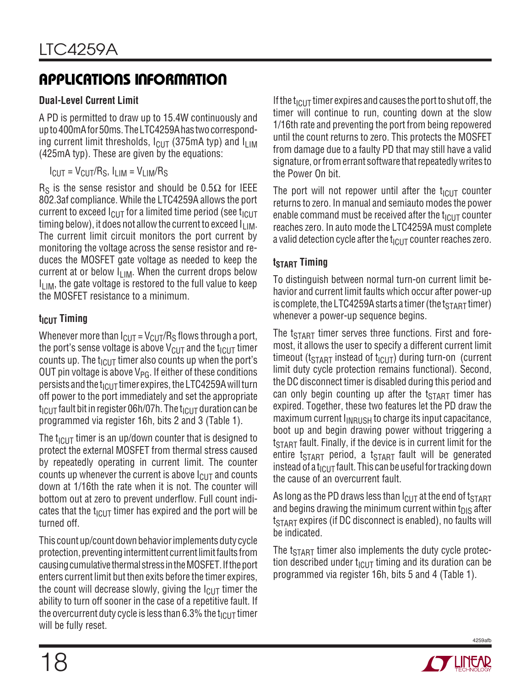### **Dual-Level Current Limit**

A PD is permitted to draw up to 15.4W continuously and up to 400mA for 50ms. The LTC4259A has two corresponding current limit thresholds,  $I_{\text{CUT}}$  (375mA typ) and  $I_{\text{LIM}}$ (425mA typ). These are given by the equations:

$$
I_{CUT} = V_{CUT}/R_S, I_{LIM} = V_{LIM}/R_S
$$

 $R<sub>S</sub>$  is the sense resistor and should be 0.5 $\Omega$  for IEEE 802.3af compliance. While the LTC4259A allows the port current to exceed  $I_{\text{ClIT}}$  for a limited time period (see  $t_{\text{ICHT}}$ timing below), it does not allow the current to exceed  $I_{LIM}$ . The current limit circuit monitors the port current by monitoring the voltage across the sense resistor and reduces the MOSFET gate voltage as needed to keep the current at or below  $I_{LIM}$ . When the current drops below  $I_{\text{I} \text{I} \text{M}}$ , the gate voltage is restored to the full value to keep the MOSFET resistance to a minimum.

### **t<sub>ICUT</sub>** Timing

Whenever more than  $I_{\text{CUT}} = V_{\text{CUT}}/R_{\text{S}}$  flows through a port, the port's sense voltage is above  $V_{\text{CUT}}$  and the t<sub>ICUT</sub> timer counts up. The  $t_{\text{ICUT}}$  timer also counts up when the port's OUT pin voltage is above  $V_{P G}$ . If either of these conditions persists and the t<sub>ICUT</sub> timer expires, the LTC4259A will turn off power to the port immediately and set the appropriate  $t_{\rm IGUT}$  fault bit in register 06h/07h. The  $t_{\rm IGUT}$  duration can be programmed via register 16h, bits 2 and 3 (Table 1).

The  $t_{\text{ICUT}}$  timer is an up/down counter that is designed to protect the external MOSFET from thermal stress caused by repeatedly operating in current limit. The counter counts up whenever the current is above  $I_{\text{Cl}}$  and counts down at 1/16th the rate when it is not. The counter will bottom out at zero to prevent underflow. Full count indicates that the  $t_{\text{ICUT}}$  timer has expired and the port will be turned off.

This count up/count down behavior implements duty cycle protection, preventing intermittent current limit faults from causing cumulative thermal stress in the MOSFET. If the port enters current limit but then exits before the timer expires, the count will decrease slowly, giving the  $I_{\text{ClIT}}$  timer the ability to turn off sooner in the case of a repetitive fault. If the overcurrent duty cycle is less than 6.3% the t<sub>ICUT</sub> timer will be fully reset.

If the t<sub>ICUT</sub> timer expires and causes the port to shut off, the timer will continue to run, counting down at the slow 1/16th rate and preventing the port from being repowered until the count returns to zero. This protects the MOSFET from damage due to a faulty PD that may still have a valid signature, or from errant software that repeatedly writes to the Power On bit.

The port will not repower until after the  $t_{\text{ICUT}}$  counter returns to zero. In manual and semiauto modes the power enable command must be received after the  $t_{\text{ICUT}}$  counter reaches zero. In auto mode the LTC4259A must complete a valid detection cycle after the  $t_{\text{ICUT}}$  counter reaches zero.

### **t**<sub>START</sub> Timing

To distinguish between normal turn-on current limit behavior and current limit faults which occur after power-up is complete, the LTC4259A starts a timer (the  $t_{\text{START}}$  timer) whenever a power-up sequence begins.

The  $t_{\text{STAT}}$  timer serves three functions. First and foremost, it allows the user to specify a different current limit timeout ( $t_{\text{STAT}}$  instead of  $t_{\text{ICUT}}$ ) during turn-on (current limit duty cycle protection remains functional). Second, the DC disconnect timer is disabled during this period and can only begin counting up after the  $t_{\text{START}}$  timer has expired. Together, these two features let the PD draw the maximum current  $I_{\text{INRUSH}}$  to charge its input capacitance, boot up and begin drawing power without triggering a  $t_{\footnotesize\rm START}$  fault. Finally, if the device is in current limit for the entire t<sub>START</sub> period, a t<sub>START</sub> fault will be generated instead of a t<sub>ICUT</sub> fault. This can be useful for tracking down the cause of an overcurrent fault.

As long as the PD draws less than  $I_{\text{Cl}}$  at the end of t<sub>START</sub> and begins drawing the minimum current within  $t_{DIS}$  after  $t_{\footnotesize\rm START}$  expires (if DC disconnect is enabled), no faults will be indicated.

The  $t<sub>STAT</sub>$  timer also implements the duty cycle protection described under  $t_{\text{ICUT}}$  timing and its duration can be programmed via register 16h, bits 5 and 4 (Table 1).

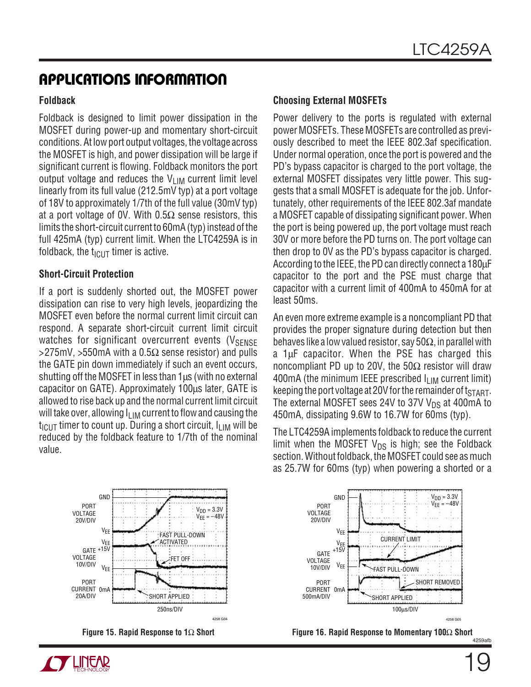#### **Foldback**

Foldback is designed to limit power dissipation in the MOSFET during power-up and momentary short-circuit conditions. At low port output voltages, the voltage across the MOSFET is high, and power dissipation will be large if significant current is flowing. Foldback monitors the port output voltage and reduces the  $V_{LIM}$  current limit level linearly from its full value (212.5mV typ) at a port voltage of 18V to approximately 1/7th of the full value (30mV typ) at a port voltage of 0V. With 0.5 $\Omega$  sense resistors, this limits the short-circuit current to 60mA (typ) instead of the full 425mA (typ) current limit. When the LTC4259A is in foldback, the  $t_{\text{ICUT}}$  timer is active.

#### **Short-Circuit Protection**

If a port is suddenly shorted out, the MOSFET power dissipation can rise to very high levels, jeopardizing the MOSFET even before the normal current limit circuit can respond. A separate short-circuit current limit circuit watches for significant overcurrent events ( $V_{\text{SENSE}}$  $>$ 275mV,  $>$ 550mA with a 0.5 $\Omega$  sense resistor) and pulls the GATE pin down immediately if such an event occurs, shutting off the MOSFET in less than  $1\mu s$  (with no external capacitor on GATE). Approximately 100µs later, GATE is allowed to rise back up and the normal current limit circuit will take over, allowing  $I_{\text{LIM}}$  current to flow and causing the  $t_{\text{ICUT}}$  timer to count up. During a short circuit,  $I_{\text{LIM}}$  will be reduced by the foldback feature to 1/7th of the nominal value.

#### **Choosing External MOSFETs**

Power delivery to the ports is regulated with external power MOSFETs. These MOSFETs are controlled as previously described to meet the IEEE 802.3af specification. Under normal operation, once the port is powered and the PD's bypass capacitor is charged to the port voltage, the external MOSFET dissipates very little power. This suggests that a small MOSFET is adequate for the job. Unfortunately, other requirements of the IEEE 802.3af mandate a MOSFET capable of dissipating significant power. When the port is being powered up, the port voltage must reach 30V or more before the PD turns on. The port voltage can then drop to 0V as the PD's bypass capacitor is charged. According to the IEEE, the PD can directly connect a 180µF capacitor to the port and the PSE must charge that capacitor with a current limit of 400mA to 450mA for at least 50ms.

An even more extreme example is a noncompliant PD that provides the proper signature during detection but then behaves like a low valued resistor, say 50 $\Omega$ , in parallel with a 1µF capacitor. When the PSE has charged this noncompliant PD up to 20V, the 50 $\Omega$  resistor will draw 400mA (the minimum IEEE prescribed  $I_{\text{LIM}}$  current limit) keeping the port voltage at 20V for the remainder of  $t<sub>START</sub>$ . The external MOSFET sees 24V to 37V  $V_{DS}$  at 400mA to 450mA, dissipating 9.6W to 16.7W for 60ms (typ).

The LTC4259A implements foldback to reduce the current limit when the MOSFET  $V_{DS}$  is high; see the Foldback section. Without foldback, the MOSFET could see as much as 25.7W for 60ms (typ) when powering a shorted or a









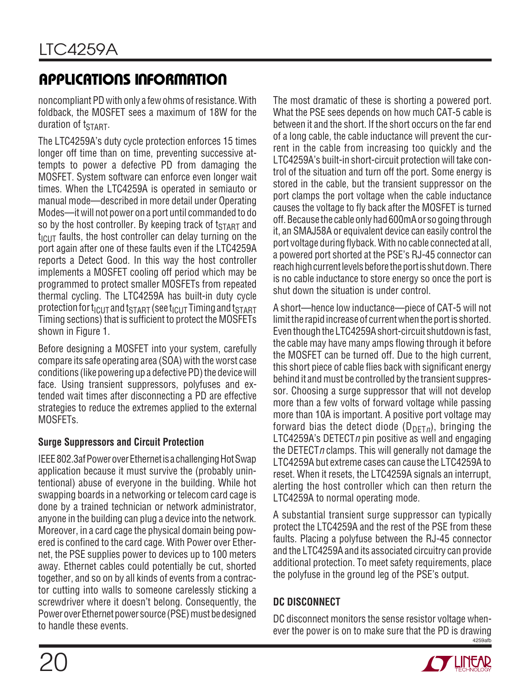noncompliant PD with only a few ohms of resistance. With foldback, the MOSFET sees a maximum of 18W for the duration of tSTART.

The LTC4259A's duty cycle protection enforces 15 times longer off time than on time, preventing successive attempts to power a defective PD from damaging the MOSFET. System software can enforce even longer wait times. When the LTC4259A is operated in semiauto or manual mode—described in more detail under Operating Modes—it will not power on a port until commanded to do so by the host controller. By keeping track of  $t_{\text{START}}$  and  $t_{\text{ICUT}}$  faults, the host controller can delay turning on the port again after one of these faults even if the LTC4259A reports a Detect Good. In this way the host controller implements a MOSFET cooling off period which may be programmed to protect smaller MOSFETs from repeated thermal cycling. The LTC4259A has built-in duty cycle protection for  $t_{ICUT}$  and  $t_{START}$  (see  $t_{ICUT}$  Timing and  $t_{START}$ Timing sections) that is sufficient to protect the MOSFETs shown in Figure 1.

Before designing a MOSFET into your system, carefully compare its safe operating area (SOA) with the worst case conditions (like powering up a defective PD) the device will face. Using transient suppressors, polyfuses and extended wait times after disconnecting a PD are effective strategies to reduce the extremes applied to the external MOSFETs.

### **Surge Suppressors and Circuit Protection**

IEEE 802.3af Power over Ethernet is a challenging Hot Swap application because it must survive the (probably unintentional) abuse of everyone in the building. While hot swapping boards in a networking or telecom card cage is done by a trained technician or network administrator, anyone in the building can plug a device into the network. Moreover, in a card cage the physical domain being powered is confined to the card cage. With Power over Ethernet, the PSE supplies power to devices up to 100 meters away. Ethernet cables could potentially be cut, shorted together, and so on by all kinds of events from a contractor cutting into walls to someone carelessly sticking a screwdriver where it doesn't belong. Consequently, the Power over Ethernet power source (PSE) must be designed to handle these events.

The most dramatic of these is shorting a powered port. What the PSE sees depends on how much CAT-5 cable is between it and the short. If the short occurs on the far end of a long cable, the cable inductance will prevent the current in the cable from increasing too quickly and the LTC4259A's built-in short-circuit protection will take control of the situation and turn off the port. Some energy is stored in the cable, but the transient suppressor on the port clamps the port voltage when the cable inductance causes the voltage to fly back after the MOSFET is turned off. Because the cable only had 600mA or so going through it, an SMAJ58A or equivalent device can easily control the port voltage during flyback. With no cable connected at all, a powered port shorted at the PSE's RJ-45 connector can reach high current levels before the port is shut down. There is no cable inductance to store energy so once the port is shut down the situation is under control.

A short—hence low inductance—piece of CAT-5 will not limit the rapid increase of current when the port is shorted. Even though the LTC4259A short-circuit shutdown is fast, the cable may have many amps flowing through it before the MOSFET can be turned off. Due to the high current, this short piece of cable flies back with significant energy behind it and must be controlled by the transient suppressor. Choosing a surge suppressor that will not develop more than a few volts of forward voltage while passing more than 10A is important. A positive port voltage may forward bias the detect diode ( $D_{\text{DFT}}$ <sub>n</sub>), bringing the LTC4259A's DETECT n pin positive as well and engaging the DETECT  $n$  clamps. This will generally not damage the LTC4259A but extreme cases can cause the LTC4259A to reset. When it resets, the LTC4259A signals an interrupt, alerting the host controller which can then return the LTC4259A to normal operating mode.

A substantial transient surge suppressor can typically protect the LTC4259A and the rest of the PSE from these faults. Placing a polyfuse between the RJ-45 connector and the LTC4259A and its associated circuitry can provide additional protection. To meet safety requirements, place the polyfuse in the ground leg of the PSE's output.

### **DC DISCONNECT**

4259afb DC disconnect monitors the sense resistor voltage whenever the power is on to make sure that the PD is drawing

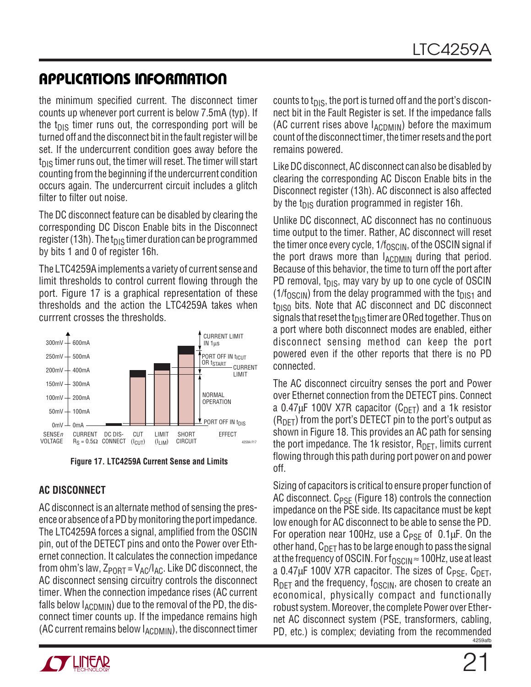the minimum specified current. The disconnect timer counts up whenever port current is below 7.5mA (typ). If the  $t_{DIS}$  timer runs out, the corresponding port will be turned off and the disconnect bit in the fault register will be set. If the undercurrent condition goes away before the  $t_{\text{DIS}}$  timer runs out, the timer will reset. The timer will start counting from the beginning if the undercurrent condition occurs again. The undercurrent circuit includes a glitch filter to filter out noise.

The DC disconnect feature can be disabled by clearing the corresponding DC Discon Enable bits in the Disconnect register (13h). The t<sub>DIS</sub> timer duration can be programmed by bits 1 and 0 of register 16h.

The LTC4259A implements a variety of current sense and limit thresholds to control current flowing through the port. Figure 17 is a graphical representation of these thresholds and the action the LTC4259A takes when currrent crosses the thresholds.



**Figure 17. LTC4259A Current Sense and Limits**

### **AC DISCONNECT**

AC disconnect is an alternate method of sensing the presence or absence of a PD by monitoring the port impedance. The LTC4259A forces a signal, amplified from the OSCIN pin, out of the DETECT pins and onto the Power over Ethernet connection. It calculates the connection impedance from ohm's law,  $Z_{\text{PORT}} = V_{\text{AC}}/I_{\text{AC}}$ . Like DC disconnect, the AC disconnect sensing circuitry controls the disconnect timer. When the connection impedance rises (AC current falls below  $I_{\text{ACDMIN}}$ ) due to the removal of the PD, the disconnect timer counts up. If the impedance remains high (AC current remains below  $I_{\text{ACDMIN}}$ ), the disconnect timer



counts to  $t_{\text{DIS}}$ , the port is turned off and the port's disconnect bit in the Fault Register is set. If the impedance falls (AC current rises above  $I_{\text{ACDMIN}}$ ) before the maximum count of the disconnect timer, the timer resets and the port remains powered.

Like DC disconnect, AC disconnect can also be disabled by clearing the corresponding AC Discon Enable bits in the Disconnect register (13h). AC disconnect is also affected by the  $t_{\text{DIS}}$  duration programmed in register 16h.

Unlike DC disconnect, AC disconnect has no continuous time output to the timer. Rather, AC disconnect will reset the timer once every cycle,  $1/f<sub>OSCIN</sub>$ , of the OSCIN signal if the port draws more than  $I_{ACDMIN}$  during that period. Because of this behavior, the time to turn off the port after PD removal,  $t_{DIS}$ , may vary by up to one cycle of OSCIN  $(1/f<sub>OSCIN</sub>)$  from the delay programmed with the t<sub>DIS1</sub> and  $t_{DIS0}$  bits. Note that AC disconnect and DC disconnect signals that reset the  $t_{DIS}$  timer are ORed together. Thus on a port where both disconnect modes are enabled, either disconnect sensing method can keep the port powered even if the other reports that there is no PD connected.

The AC disconnect circuitry senses the port and Power over Ethernet connection from the DETECT pins. Connect a 0.47 $\mu$ F 100V X7R capacitor (C<sub>DFT</sub>) and a 1k resistor  $(R<sub>DET</sub>)$  from the port's DETECT pin to the port's output as shown in Figure 18. This provides an AC path for sensing the port impedance. The 1k resistor,  $R_{\text{DFT}}$ , limits current flowing through this path during port power on and power off.

4259afb Sizing of capacitors is critical to ensure proper function of AC disconnect.  $C_{PSF}$  (Figure 18) controls the connection impedance on the PSE side. Its capacitance must be kept low enough for AC disconnect to be able to sense the PD. For operation near 100Hz, use a  $C_{PSF}$  of 0.1 $\mu$ F. On the other hand,  $C_{\text{DFT}}$  has to be large enough to pass the signal at the frequency of OSCIN. For  $f_{\text{OSCIN}} \approx 100$ Hz, use at least a 0.47 $\mu$ F 100V X7R capacitor. The sizes of C<sub>PSF</sub>, C<sub>DFT</sub>,  $R_{\text{DFT}}$  and the frequency,  $f_{\text{OSCIN}}$ , are chosen to create an economical, physically compact and functionally robust system. Moreover, the complete Power over Ethernet AC disconnect system (PSE, transformers, cabling, PD, etc.) is complex; deviating from the recommended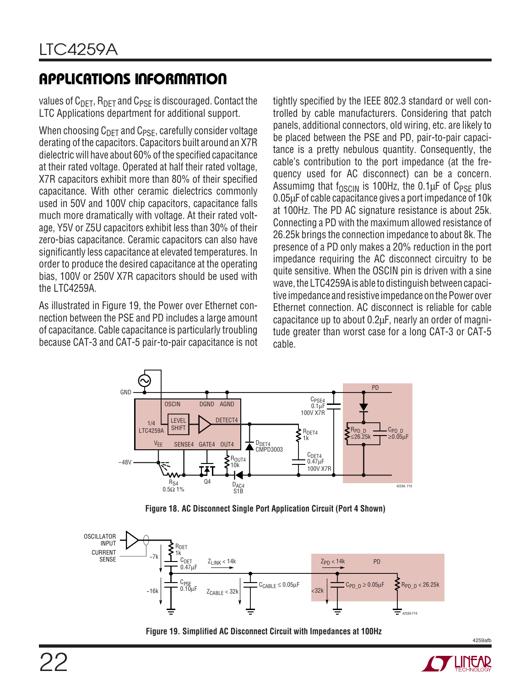values of  $C_{\text{DFT}}$ ,  $R_{\text{DFT}}$  and  $C_{\text{PSF}}$  is discouraged. Contact the LTC Applications department for additional support.

When choosing  $C_{DET}$  and  $C_{PSE}$ , carefully consider voltage derating of the capacitors. Capacitors built around an X7R dielectric will have about 60% of the specified capacitance at their rated voltage. Operated at half their rated voltage, X7R capacitors exhibit more than 80% of their specified capacitance. With other ceramic dielectrics commonly used in 50V and 100V chip capacitors, capacitance falls much more dramatically with voltage. At their rated voltage, Y5V or Z5U capacitors exhibit less than 30% of their zero-bias capacitance. Ceramic capacitors can also have significantly less capacitance at elevated temperatures. In order to produce the desired capacitance at the operating bias, 100V or 250V X7R capacitors should be used with the LTC4259A.

As illustrated in Figure 19, the Power over Ethernet connection between the PSE and PD includes a large amount of capacitance. Cable capacitance is particularly troubling because CAT-3 and CAT-5 pair-to-pair capacitance is not tightly specified by the IEEE 802.3 standard or well controlled by cable manufacturers. Considering that patch panels, additional connectors, old wiring, etc. are likely to be placed between the PSE and PD, pair-to-pair capacitance is a pretty nebulous quantity. Consequently, the cable's contribution to the port impedance (at the frequency used for AC disconnect) can be a concern. Assumimg that  $f_{OSCIN}$  is 100Hz, the 0.1 $\mu$ F of C<sub>PSF</sub> plus 0.05µF of cable capacitance gives a port impedance of 10k at 100Hz. The PD AC signature resistance is about 25k. Connecting a PD with the maximum allowed resistance of 26.25k brings the connection impedance to about 8k. The presence of a PD only makes a 20% reduction in the port impedance requiring the AC disconnect circuitry to be quite sensitive. When the OSCIN pin is driven with a sine wave, the LTC4259A is able to distinguish between capacitive impedance and resistive impedance on the Power over Ethernet connection. AC disconnect is reliable for cable capacitance up to about 0.2µF, nearly an order of magnitude greater than worst case for a long CAT-3 or CAT-5 cable.



**Figure 18. AC Disconnect Single Port Application Circuit (Port 4 Shown)**



**Figure 19. Simplified AC Disconnect Circuit with Impedances at 100Hz**

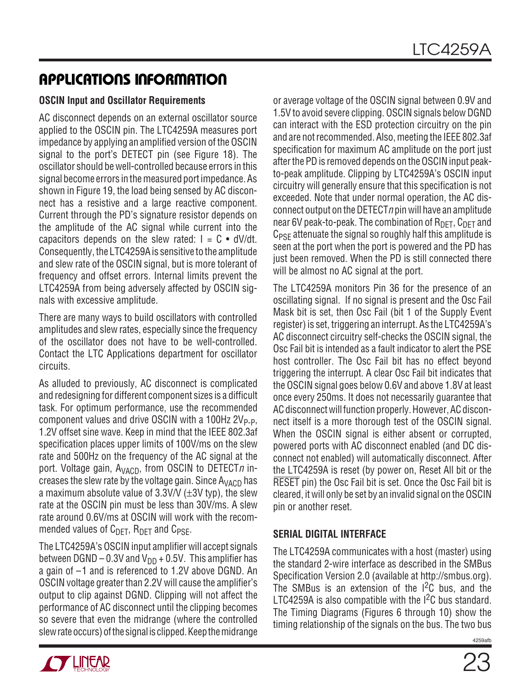#### **OSCIN Input and Oscillator Requirements**

AC disconnect depends on an external oscillator source applied to the OSCIN pin. The LTC4259A measures port impedance by applying an amplified version of the OSCIN signal to the port's DETECT pin (see Figure 18). The oscillator should be well-controlled because errors in this signal become errors in the measured port impedance. As shown in Figure 19, the load being sensed by AC disconnect has a resistive and a large reactive component. Current through the PD's signature resistor depends on the amplitude of the AC signal while current into the capacitors depends on the slew rated:  $I = C \cdot dV/dt$ . Consequently, the LTC4259A is sensitive to the amplitude and slew rate of the OSCIN signal, but is more tolerant of frequency and offset errors. Internal limits prevent the LTC4259A from being adversely affected by OSCIN signals with excessive amplitude.

There are many ways to build oscillators with controlled amplitudes and slew rates, especially since the frequency of the oscillator does not have to be well-controlled. Contact the LTC Applications department for oscillator circuits.

As alluded to previously, AC disconnect is complicated and redesigning for different component sizes is a difficult task. For optimum performance, use the recommended component values and drive OSCIN with a 100Hz  $2V_{P-P}$ , 1.2V offset sine wave. Keep in mind that the IEEE 802.3af specification places upper limits of 100V/ms on the slew rate and 500Hz on the frequency of the AC signal at the port. Voltage gain,  $A_{VACD}$ , from OSCIN to DETECT*n* increases the slew rate by the voltage gain. Since  $A_{VACD}$  has a maximum absolute value of  $3.3$ V/V ( $\pm$ 3V typ), the slew rate at the OSCIN pin must be less than 30V/ms. A slew rate around 0.6V/ms at OSCIN will work with the recommended values of  $C_{\text{DFT}}$ ,  $R_{\text{DFT}}$  and  $C_{\text{PSF}}$ .

The LTC4259A's OSCIN input amplifier will accept signals between DGND – 0.3V and  $V_{DD}$  + 0.5V. This amplifier has a gain of –1 and is referenced to 1.2V above DGND. An OSCIN voltage greater than 2.2V will cause the amplifier's output to clip against DGND. Clipping will not affect the performance of AC disconnect until the clipping becomes so severe that even the midrange (where the controlled slew rate occurs) of the signal is clipped. Keep the midrange or average voltage of the OSCIN signal between 0.9V and 1.5V to avoid severe clipping. OSCIN signals below DGND can interact with the ESD protection circuitry on the pin and are not recommended. Also, meeting the IEEE 802.3af specification for maximum AC amplitude on the port just after the PD is removed depends on the OSCIN input peakto-peak amplitude. Clipping by LTC4259A's OSCIN input circuitry will generally ensure that this specification is not exceeded. Note that under normal operation, the AC disconnect output on the DETECT $n$  pin will have an amplitude near 6V peak-to-peak. The combination of  $R_{\text{DFT}}$ ,  $C_{\text{DFT}}$  and  $C_{PSF}$  attenuate the signal so roughly half this amplitude is seen at the port when the port is powered and the PD has just been removed. When the PD is still connected there will be almost no AC signal at the port.

The LTC4259A monitors Pin 36 for the presence of an oscillating signal. If no signal is present and the Osc Fail Mask bit is set, then Osc Fail (bit 1 of the Supply Event register) is set, triggering an interrupt. As the LTC4259A's AC disconnect circuitry self-checks the OSCIN signal, the Osc Fail bit is intended as a fault indicator to alert the PSE host controller. The Osc Fail bit has no effect beyond triggering the interrupt. A clear Osc Fail bit indicates that the OSCIN signal goes below 0.6V and above 1.8V at least once every 250ms. It does not necessarily guarantee that AC disconnect will function properly. However, AC disconnect itself is a more thorough test of the OSCIN signal. When the OSCIN signal is either absent or corrupted, powered ports with AC disconnect enabled (and DC disconnect not enabled) will automatically disconnect. After the LTC4259A is reset (by power on, Reset All bit or the RESET pin) the Osc Fail bit is set. Once the Osc Fail bit is cleared, it will only be set by an invalid signal on the OSCIN pin or another reset.

### **SERIAL DIGITAL INTERFACE**

The LTC4259A communicates with a host (master) using the standard 2-wire interface as described in the SMBus Specification Version 2.0 (available at http://smbus.org). The SMBus is an extension of the  $1^2C$  bus, and the LTC4259A is also compatible with the  $1<sup>2</sup>C$  bus standard. The Timing Diagrams (Figures 6 through 10) show the timing relationship of the signals on the bus. The two bus

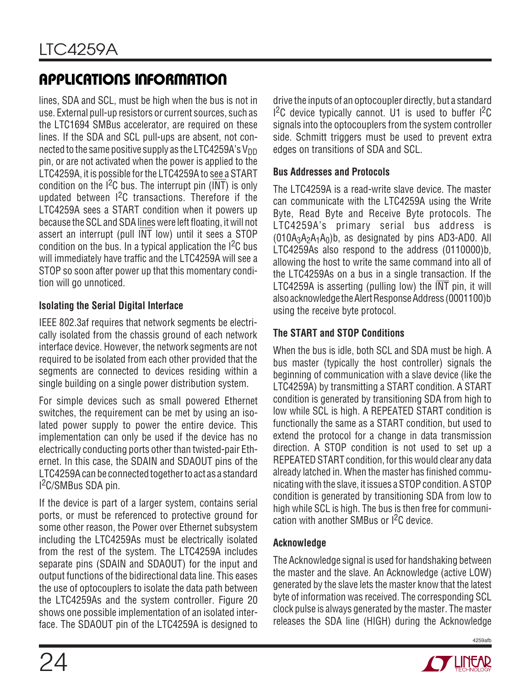lines, SDA and SCL, must be high when the bus is not in use. External pull-up resistors or current sources, such as the LTC1694 SMBus accelerator, are required on these lines. If the SDA and SCL pull-ups are absent, not connected to the same positive supply as the LTC4259A's  $V_{DD}$ pin, or are not activated when the power is applied to the LTC4259A, it is possible for the LTC4259A to see a START condition on the  $1^2C$  bus. The interrupt pin  $(\overline{INT})$  is only updated between I<sup>2</sup>C transactions. Therefore if the LTC4259A sees a START condition when it powers up because the SCL and SDA lines were left floating, it will not assert an interrupt (pull INT low) until it sees a STOP condition on the bus. In a typical application the  ${}^{12}C$  bus will immediately have traffic and the LTC4259A will see a STOP so soon after power up that this momentary condition will go unnoticed.

### **Isolating the Serial Digital Interface**

IEEE 802.3af requires that network segments be electrically isolated from the chassis ground of each network interface device. However, the network segments are not required to be isolated from each other provided that the segments are connected to devices residing within a single building on a single power distribution system.

For simple devices such as small powered Ethernet switches, the requirement can be met by using an isolated power supply to power the entire device. This implementation can only be used if the device has no electrically conducting ports other than twisted-pair Ethernet. In this case, the SDAIN and SDAOUT pins of the LTC4259A can be connected together to act as a standard I 2C/SMBus SDA pin.

If the device is part of a larger system, contains serial ports, or must be referenced to protective ground for some other reason, the Power over Ethernet subsystem including the LTC4259As must be electrically isolated from the rest of the system. The LTC4259A includes separate pins (SDAIN and SDAOUT) for the input and output functions of the bidirectional data line. This eases the use of optocouplers to isolate the data path between the LTC4259As and the system controller. Figure 20 shows one possible implementation of an isolated interface. The SDAOUT pin of the LTC4259A is designed to

drive the inputs of an optocoupler directly, but a standard  $1<sup>2</sup>C$  device typically cannot. U1 is used to buffer  $1<sup>2</sup>C$ signals into the optocouplers from the system controller side. Schmitt triggers must be used to prevent extra edges on transitions of SDA and SCL.

### **Bus Addresses and Protocols**

The LTC4259A is a read-write slave device. The master can communicate with the LTC4259A using the Write Byte, Read Byte and Receive Byte protocols. The LTC4259A's primary serial bus address is  $(010A_3A_2A_1A_0)b$ , as designated by pins AD3-AD0. All LTC4259As also respond to the address (0110000)b, allowing the host to write the same command into all of the LTC4259As on a bus in a single transaction. If the LTC4259A is asserting (pulling low) the  $\overline{\text{INT}}$  pin, it will also acknowledge the Alert Response Address (0001100)b using the receive byte protocol.

### **The START and STOP Conditions**

When the bus is idle, both SCL and SDA must be high. A bus master (typically the host controller) signals the beginning of communication with a slave device (like the LTC4259A) by transmitting a START condition. A START condition is generated by transitioning SDA from high to low while SCL is high. A REPEATED START condition is functionally the same as a START condition, but used to extend the protocol for a change in data transmission direction. A STOP condition is not used to set up a REPEATED START condition, for this would clear any data already latched in. When the master has finished communicating with the slave, it issues a STOP condition. A STOP condition is generated by transitioning SDA from low to high while SCL is high. The bus is then free for communication with another SMBus or I2C device.

### **Acknowledge**

The Acknowledge signal is used for handshaking between the master and the slave. An Acknowledge (active LOW) generated by the slave lets the master know that the latest byte of information was received. The corresponding SCL clock pulse is always generated by the master. The master releases the SDA line (HIGH) during the Acknowledge



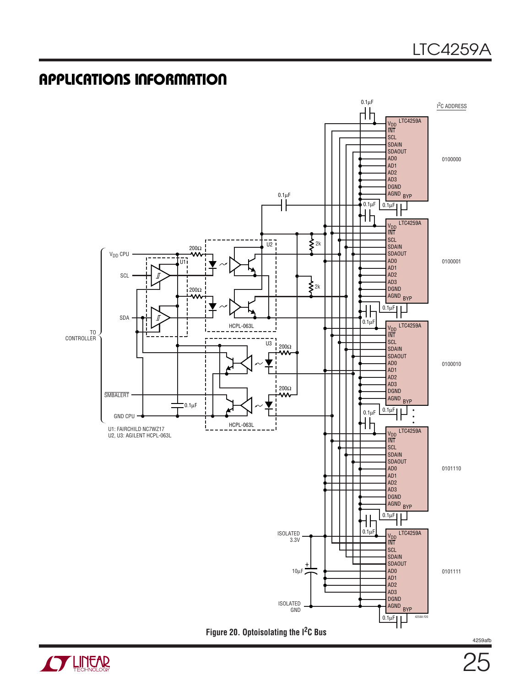

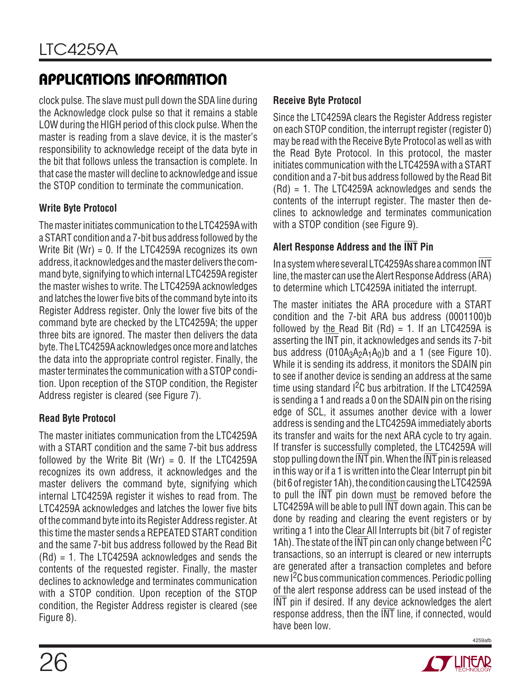clock pulse. The slave must pull down the SDA line during the Acknowledge clock pulse so that it remains a stable LOW during the HIGH period of this clock pulse. When the master is reading from a slave device, it is the master's responsibility to acknowledge receipt of the data byte in the bit that follows unless the transaction is complete. In that case the master will decline to acknowledge and issue the STOP condition to terminate the communication.

### **Write Byte Protocol**

The master initiates communication to the LTC4259A with a START condition and a 7-bit bus address followed by the Write Bit  $(Wr) = 0$ . If the LTC4259A recognizes its own address, it acknowledges and the master delivers the command byte, signifying to which internal LTC4259A register the master wishes to write. The LTC4259A acknowledges and latches the lower five bits of the command byte into its Register Address register. Only the lower five bits of the command byte are checked by the LTC4259A; the upper three bits are ignored. The master then delivers the data byte. The LTC4259A acknowledges once more and latches the data into the appropriate control register. Finally, the master terminates the communication with a STOP condition. Upon reception of the STOP condition, the Register Address register is cleared (see Figure 7).

### **Read Byte Protocol**

The master initiates communication from the LTC4259A with a START condition and the same 7-bit bus address followed by the Write Bit (Wr) =  $0$ . If the LTC4259A recognizes its own address, it acknowledges and the master delivers the command byte, signifying which internal LTC4259A register it wishes to read from. The LTC4259A acknowledges and latches the lower five bits of the command byte into its Register Address register. At this time the master sends a REPEATED START condition and the same 7-bit bus address followed by the Read Bit (Rd) = 1. The LTC4259A acknowledges and sends the contents of the requested register. Finally, the master declines to acknowledge and terminates communication with a STOP condition. Upon reception of the STOP condition, the Register Address register is cleared (see Figure 8).

### **Receive Byte Protocol**

Since the LTC4259A clears the Register Address register on each STOP condition, the interrupt register (register 0) may be read with the Receive Byte Protocol as well as with the Read Byte Protocol. In this protocol, the master initiates communication with the LTC4259A with a START condition and a 7-bit bus address followed by the Read Bit (Rd) = 1. The LTC4259A acknowledges and sends the contents of the interrupt register. The master then declines to acknowledge and terminates communication with a STOP condition (see Figure 9).

### **Alert Response Address and the INT Pin**

In a system where several LTC4259As share a common INT line, the master can use the Alert Response Address (ARA) to determine which LTC4259A initiated the interrupt.

The master initiates the ARA procedure with a START condition and the 7-bit ARA bus address (0001100)b followed by the Read Bit  $(Rd) = 1$ . If an LTC4259A is asserting the INT pin, it acknowledges and sends its 7-bit bus address  $(010A_3A_2A_1A_0)$ b and a 1 (see Figure 10). While it is sending its address, it monitors the SDAIN pin to see if another device is sending an address at the same time using standard <sup>2</sup>C bus arbitration. If the LTC4259A is sending a 1 and reads a 0 on the SDAIN pin on the rising edge of SCL, it assumes another device with a lower address is sending and the LTC4259A immediately aborts its transfer and waits for the next ARA cycle to try again. If transfer is successfully completed, the LTC4259A will stop pulling down the  $\overline{\text{INT}}$  pin. When the  $\overline{\text{INT}}$  pin is released in this way or if a 1 is written into the Clear Interrupt pin bit (bit 6 of register 1Ah), the condition causing the LTC4259A to pull the INT pin down must be removed before the LTC4259A will be able to pull INT down again. This can be done by reading and clearing the event registers or by writing a 1 into the Clear All Interrupts bit (bit 7 of register 1Ah). The state of the INT pin can only change between  ${}^{12}C$ transactions, so an interrupt is cleared or new interrupts are generated after a transaction completes and before new I2C bus communication commences. Periodic polling of the alert response address can be used instead of the INT pin if desired. If any device acknowledges the alert response address, then the INT line, if connected, would have been low.

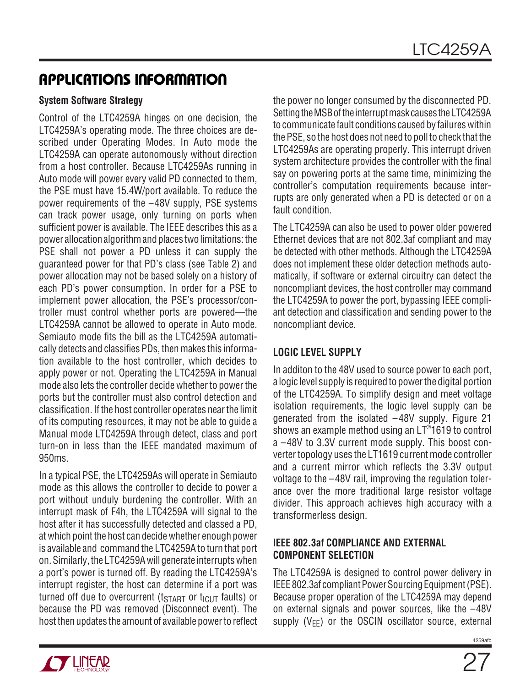### **System Software Strategy**

Control of the LTC4259A hinges on one decision, the LTC4259A's operating mode. The three choices are described under Operating Modes. In Auto mode the LTC4259A can operate autonomously without direction from a host controller. Because LTC4259As running in Auto mode will power every valid PD connected to them, the PSE must have 15.4W/port available. To reduce the power requirements of the –48V supply, PSE systems can track power usage, only turning on ports when sufficient power is available. The IEEE describes this as a power allocation algorithm and places two limitations: the PSE shall not power a PD unless it can supply the guaranteed power for that PD's class (see Table 2) and power allocation may not be based solely on a history of each PD's power consumption. In order for a PSE to implement power allocation, the PSE's processor/controller must control whether ports are powered—the LTC4259A cannot be allowed to operate in Auto mode. Semiauto mode fits the bill as the LTC4259A automatically detects and classifies PDs, then makes this information available to the host controller, which decides to apply power or not. Operating the LTC4259A in Manual mode also lets the controller decide whether to power the ports but the controller must also control detection and classification. If the host controller operates near the limit of its computing resources, it may not be able to guide a Manual mode LTC4259A through detect, class and port turn-on in less than the IEEE mandated maximum of 950ms.

In a typical PSE, the LTC4259As will operate in Semiauto mode as this allows the controller to decide to power a port without unduly burdening the controller. With an interrupt mask of F4h, the LTC4259A will signal to the host after it has successfully detected and classed a PD, at which point the host can decide whether enough power is available and command the LTC4259A to turn that port on. Similarly, the LTC4259A will generate interrupts when a port's power is turned off. By reading the LTC4259A's interrupt register, the host can determine if a port was turned off due to overcurrent ( $t_{\text{STAT}}$  or  $t_{\text{ICUT}}$  faults) or because the PD was removed (Disconnect event). The host then updates the amount of available power to reflect

the power no longer consumed by the disconnected PD. Setting the MSB of the interrupt mask causes the LTC4259A to communicate fault conditions caused by failures within the PSE, so the host does not need to poll to check that the LTC4259As are operating properly. This interrupt driven system architecture provides the controller with the final say on powering ports at the same time, minimizing the controller's computation requirements because interrupts are only generated when a PD is detected or on a fault condition.

The LTC4259A can also be used to power older powered Ethernet devices that are not 802.3af compliant and may be detected with other methods. Although the LTC4259A does not implement these older detection methods automatically, if software or external circuitry can detect the noncompliant devices, the host controller may command the LTC4259A to power the port, bypassing IEEE compliant detection and classification and sending power to the noncompliant device.

### **LOGIC LEVEL SUPPLY**

In additon to the 48V used to source power to each port, a logic level supply is required to power the digital portion of the LTC4259A. To simplify design and meet voltage isolation requirements, the logic level supply can be generated from the isolated –48V supply. Figure 21 shows an example method using an LT® 1619 to control a –48V to 3.3V current mode supply. This boost converter topology uses the LT1619 current mode controller and a current mirror which reflects the 3.3V output voltage to the –48V rail, improving the regulation tolerance over the more traditional large resistor voltage divider. This approach achieves high accuracy with a transformerless design.

### **IEEE 802.3af COMPLIANCE AND EXTERNAL COMPONENT SELECTION**

The LTC4259A is designed to control power delivery in IEEE 802.3af compliant Power Sourcing Equipment (PSE). Because proper operation of the LTC4259A may depend on external signals and power sources, like the –48V supply  $(V_{EE})$  or the OSCIN oscillator source, external

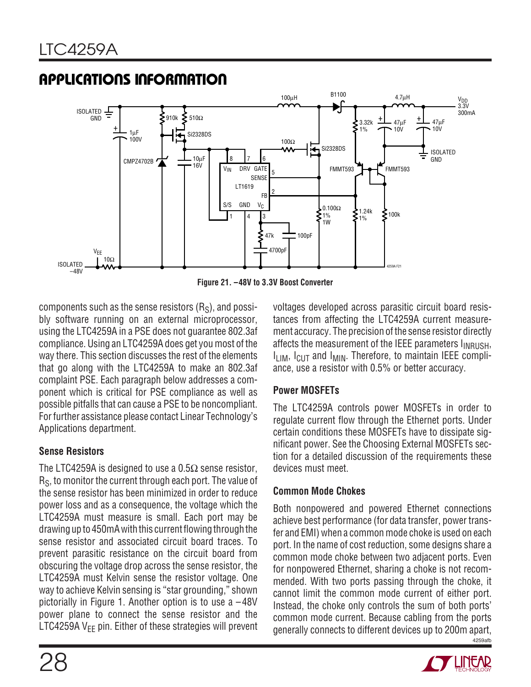

**Figure 21. –48V to 3.3V Boost Converter**

components such as the sense resistors  $(R<sub>S</sub>)$ , and possibly software running on an external microprocessor, using the LTC4259A in a PSE does not guarantee 802.3af compliance. Using an LTC4259A does get you most of the way there. This section discusses the rest of the elements that go along with the LTC4259A to make an 802.3af complaint PSE. Each paragraph below addresses a component which is critical for PSE compliance as well as possible pitfalls that can cause a PSE to be noncompliant. For further assistance please contact Linear Technology's Applications department.

### **Sense Resistors**

The LTC4259A is designed to use a 0.5 $\Omega$  sense resistor, R<sub>S</sub>, to monitor the current through each port. The value of the sense resistor has been minimized in order to reduce power loss and as a consequence, the voltage which the LTC4259A must measure is small. Each port may be drawing up to 450mA with this current flowing through the sense resistor and associated circuit board traces. To prevent parasitic resistance on the circuit board from obscuring the voltage drop across the sense resistor, the LTC4259A must Kelvin sense the resistor voltage. One way to achieve Kelvin sensing is "star grounding," shown pictorially in Figure 1. Another option is to use a –48V power plane to connect the sense resistor and the LTC4259A  $V_{FF}$  pin. Either of these strategies will prevent voltages developed across parasitic circuit board resistances from affecting the LTC4259A current measurement accuracy. The precision of the sense resistor directly affects the measurement of the IEEE parameters I<sub>INRUSH</sub>, I<sub>LIM</sub>, I<sub>CUT</sub> and I<sub>MIN</sub>. Therefore, to maintain IEEE compliance, use a resistor with 0.5% or better accuracy.

### **Power MOSFETs**

The LTC4259A controls power MOSFETs in order to regulate current flow through the Ethernet ports. Under certain conditions these MOSFETs have to dissipate significant power. See the Choosing External MOSFETs section for a detailed discussion of the requirements these devices must meet.

### **Common Mode Chokes**

4259afb Both nonpowered and powered Ethernet connections achieve best performance (for data transfer, power transfer and EMI) when a common mode choke is used on each port. In the name of cost reduction, some designs share a common mode choke between two adjacent ports. Even for nonpowered Ethernet, sharing a choke is not recommended. With two ports passing through the choke, it cannot limit the common mode current of either port. Instead, the choke only controls the sum of both ports' common mode current. Because cabling from the ports generally connects to different devices up to 200m apart,

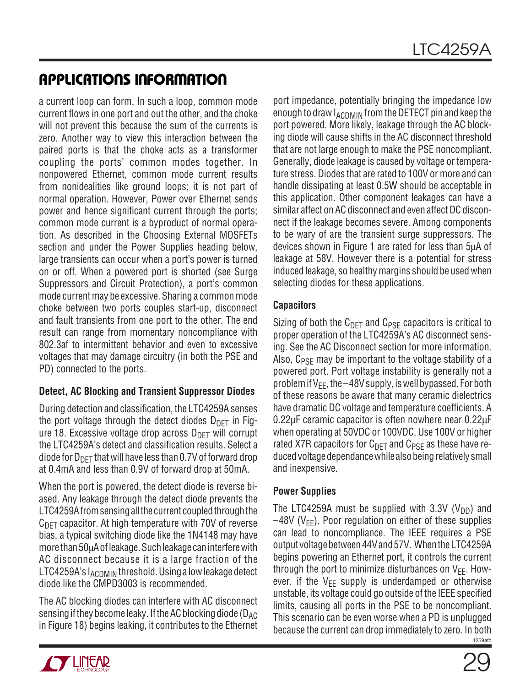a current loop can form. In such a loop, common mode current flows in one port and out the other, and the choke will not prevent this because the sum of the currents is zero. Another way to view this interaction between the paired ports is that the choke acts as a transformer coupling the ports' common modes together. In nonpowered Ethernet, common mode current results from nonidealities like ground loops; it is not part of normal operation. However, Power over Ethernet sends power and hence significant current through the ports; common mode current is a byproduct of normal operation. As described in the Choosing External MOSFETs section and under the Power Supplies heading below, large transients can occur when a port's power is turned on or off. When a powered port is shorted (see Surge Suppressors and Circuit Protection), a port's common mode current may be excessive. Sharing a common mode choke between two ports couples start-up, disconnect and fault transients from one port to the other. The end result can range from momentary noncompliance with 802.3af to intermittent behavior and even to excessive voltages that may damage circuitry (in both the PSE and PD) connected to the ports.

### **Detect, AC Blocking and Transient Suppressor Diodes**

During detection and classification, the LTC4259A senses the port voltage through the detect diodes  $D_{\text{DET}}$  in Figure 18. Excessive voltage drop across  $D_{\text{DFT}}$  will corrupt the LTC4259A's detect and classification results. Select a diode for  $D_{\text{DET}}$  that will have less than 0.7V of forward drop at 0.4mA and less than 0.9V of forward drop at 50mA.

When the port is powered, the detect diode is reverse biased. Any leakage through the detect diode prevents the LTC4259A from sensing all the current coupled through the  $C<sub>DET</sub>$  capacitor. At high temperature with 70V of reverse bias, a typical switching diode like the 1N4148 may have more than 50µA of leakage. Such leakage can interfere with AC disconnect because it is a large fraction of the LTC4259A's I<sub>ACDMIN</sub> threshold. Using a low leakage detect diode like the CMPD3003 is recommended.

The AC blocking diodes can interfere with AC disconnect sensing if they become leaky. If the AC blocking diode ( $D_{AC}$ in Figure 18) begins leaking, it contributes to the Ethernet

port impedance, potentially bringing the impedance low enough to draw  $I_{\text{ACDMIN}}$  from the DETECT pin and keep the port powered. More likely, leakage through the AC blocking diode will cause shifts in the AC disconnect threshold that are not large enough to make the PSE noncompliant. Generally, diode leakage is caused by voltage or temperature stress. Diodes that are rated to 100V or more and can handle dissipating at least 0.5W should be acceptable in this application. Other component leakages can have a similar affect on AC disconnect and even affect DC disconnect if the leakage becomes severe. Among components to be wary of are the transient surge suppressors. The devices shown in Figure 1 are rated for less than 5µA of leakage at 58V. However there is a potential for stress induced leakage, so healthy margins should be used when selecting diodes for these applications.

### **Capacitors**

Sizing of both the  $C_{\text{DET}}$  and  $C_{\text{PSE}}$  capacitors is critical to proper operation of the LTC4259A's AC disconnect sensing. See the AC Disconnect section for more information. Also,  $C_{PSF}$  may be important to the voltage stability of a powered port. Port voltage instability is generally not a problem if  $V_{FF}$ , the  $-48V$  supply, is well bypassed. For both of these reasons be aware that many ceramic dielectrics have dramatic DC voltage and temperature coefficients. A 0.22µF ceramic capacitor is often nowhere near 0.22µF when operating at 50VDC or 100VDC. Use 100V or higher rated X7R capacitors for  $C_{DET}$  and  $C_{PSE}$  as these have reduced voltage dependance while also being relatively small and inexpensive.

### **Power Supplies**

4259afb The LTC4259A must be supplied with 3.3V ( $V_{DD}$ ) and  $-48V$  (V<sub>FF</sub>). Poor regulation on either of these supplies can lead to noncompliance. The IEEE requires a PSE output voltage between 44V and 57V. When the LTC4259A begins powering an Ethernet port, it controls the current through the port to minimize disturbances on  $V_{EE}$ . However, if the  $V_{EE}$  supply is underdamped or otherwise unstable, its voltage could go outside of the IEEE specified limits, causing all ports in the PSE to be noncompliant. This scenario can be even worse when a PD is unplugged because the current can drop immediately to zero. In both

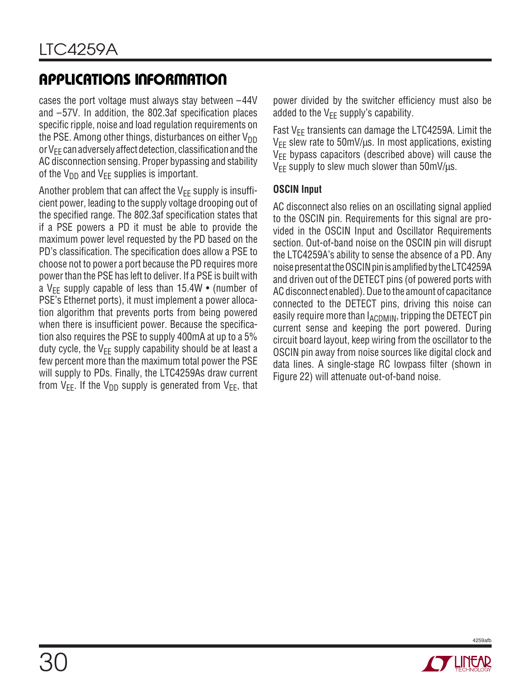cases the port voltage must always stay between –44V and –57V. In addition, the 802.3af specification places specific ripple, noise and load regulation requirements on the PSE. Among other things, disturbances on either  $V_{DD}$ or  $V_{EE}$  can adversely affect detection, classification and the AC disconnection sensing. Proper bypassing and stability of the  $V_{DD}$  and  $V_{FF}$  supplies is important.

Another problem that can affect the  $V_{FF}$  supply is insufficient power, leading to the supply voltage drooping out of the specified range. The 802.3af specification states that if a PSE powers a PD it must be able to provide the maximum power level requested by the PD based on the PD's classification. The specification does allow a PSE to choose not to power a port because the PD requires more power than the PSE has left to deliver. If a PSE is built with a V<sub>EE</sub> supply capable of less than  $15.4W \cdot$  (number of PSE's Ethernet ports), it must implement a power allocation algorithm that prevents ports from being powered when there is insufficient power. Because the specification also requires the PSE to supply 400mA at up to a 5% duty cycle, the  $V_{FF}$  supply capability should be at least a few percent more than the maximum total power the PSE will supply to PDs. Finally, the LTC4259As draw current from  $V_{EE}$ . If the  $V_{DD}$  supply is generated from  $V_{EE}$ , that

power divided by the switcher efficiency must also be added to the  $V_{FF}$  supply's capability.

Fast  $V_{FF}$  transients can damage the LTC4259A. Limit the  $V_{EE}$  slew rate to 50mV/ $\mu$ s. In most applications, existing  $V_{EE}$  bypass capacitors (described above) will cause the  $V_{FF}$  supply to slew much slower than 50mV/ $\mu$ s.

### **OSCIN Input**

AC disconnect also relies on an oscillating signal applied to the OSCIN pin. Requirements for this signal are provided in the OSCIN Input and Oscillator Requirements section. Out-of-band noise on the OSCIN pin will disrupt the LTC4259A's ability to sense the absence of a PD. Any noise present at the OSCIN pin is amplified by the LTC4259A and driven out of the DETECT pins (of powered ports with AC disconnect enabled). Due to the amount of capacitance connected to the DETECT pins, driving this noise can easily require more than  $I_{\text{ACDMIN}}$ , tripping the DETECT pin current sense and keeping the port powered. During circuit board layout, keep wiring from the oscillator to the OSCIN pin away from noise sources like digital clock and data lines. A single-stage RC lowpass filter (shown in Figure 22) will attenuate out-of-band noise.

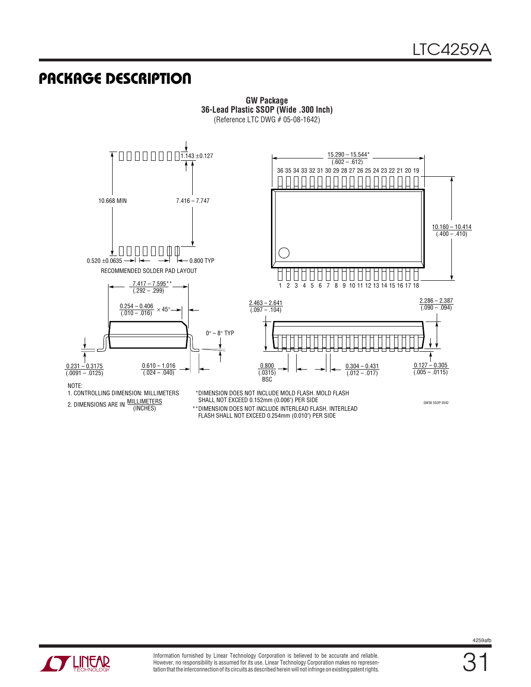GW36 SSOP 0502

### **U PACKAGE DESCRIPTIO**



**GW Package 36-Lead Plastic SSOP (Wide .300 Inch)** (Reference LTC DWG # 05-08-1642)

NOTE:

2. DIMENSIONS ARE IN <u>MILLIMETERS</u><br>(INCHES) 1. CONTROLLING DIMENSION: MILLIMETERS

DIMENSION DOES NOT INCLUDE MOLD FLASH. MOLD FLASH \* SHALL NOT EXCEED 0.152mm (0.006") PER SIDE

DIMENSION DOES NOT INCLUDE INTERLEAD FLASH. INTERLEAD FLASH SHALL NOT EXCEED 0.254mm (0.010") PER SIDE \*\*